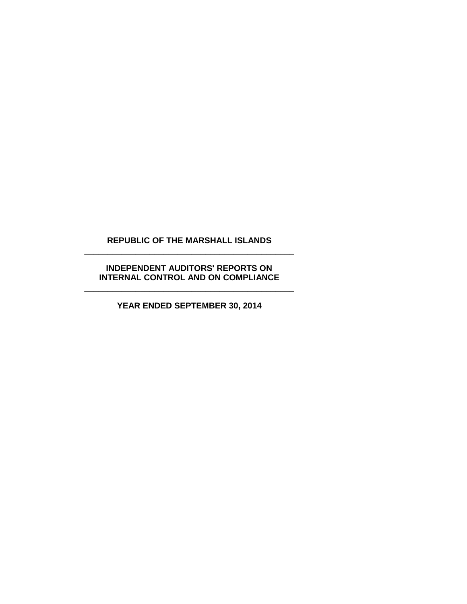## **REPUBLIC OF THE MARSHALL ISLANDS** \_\_\_\_\_\_\_\_\_\_\_\_\_\_\_\_\_\_\_\_\_\_\_\_\_\_\_\_\_\_\_\_\_\_\_\_\_\_\_\_\_\_\_\_\_

## **INDEPENDENT AUDITORS' REPORTS ON INTERNAL CONTROL AND ON COMPLIANCE** \_\_\_\_\_\_\_\_\_\_\_\_\_\_\_\_\_\_\_\_\_\_\_\_\_\_\_\_\_\_\_\_\_\_\_\_\_\_\_\_\_\_\_\_\_

**YEAR ENDED SEPTEMBER 30, 2014**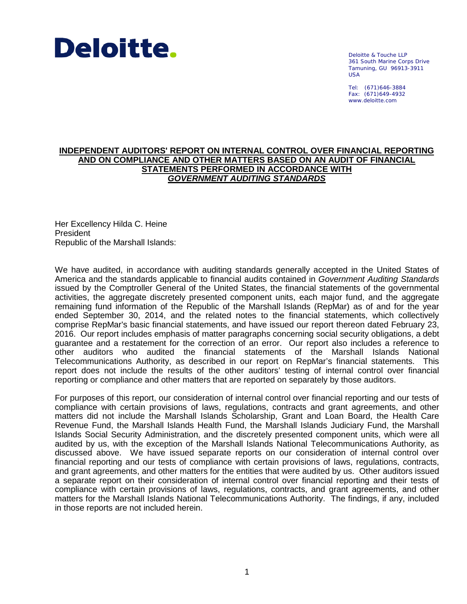

Deloitte & Touche LLP 361 South Marine Corps Drive Tamuning, GU 96913-3911 USA

Tel: (671)646-3884 Fax: (671)649-4932 www.deloitte.com

#### **INDEPENDENT AUDITORS' REPORT ON INTERNAL CONTROL OVER FINANCIAL REPORTING AND ON COMPLIANCE AND OTHER MATTERS BASED ON AN AUDIT OF FINANCIAL STATEMENTS PERFORMED IN ACCORDANCE WITH** *GOVERNMENT AUDITING STANDARDS*

Her Excellency Hilda C. Heine President Republic of the Marshall Islands:

We have audited, in accordance with auditing standards generally accepted in the United States of America and the standards applicable to financial audits contained in *Government Auditing Standards* issued by the Comptroller General of the United States, the financial statements of the governmental activities, the aggregate discretely presented component units, each major fund, and the aggregate remaining fund information of the Republic of the Marshall Islands (RepMar) as of and for the year ended September 30, 2014, and the related notes to the financial statements, which collectively comprise RepMar's basic financial statements, and have issued our report thereon dated February 23, 2016. Our report includes emphasis of matter paragraphs concerning social security obligations, a debt guarantee and a restatement for the correction of an error. Our report also includes a reference to other auditors who audited the financial statements of the Marshall Islands National Telecommunications Authority, as described in our report on RepMar's financial statements. This report does not include the results of the other auditors' testing of internal control over financial reporting or compliance and other matters that are reported on separately by those auditors.

For purposes of this report, our consideration of internal control over financial reporting and our tests of compliance with certain provisions of laws, regulations, contracts and grant agreements, and other matters did not include the Marshall Islands Scholarship, Grant and Loan Board, the Health Care Revenue Fund, the Marshall Islands Health Fund, the Marshall Islands Judiciary Fund, the Marshall Islands Social Security Administration, and the discretely presented component units, which were all audited by us, with the exception of the Marshall Islands National Telecommunications Authority, as discussed above. We have issued separate reports on our consideration of internal control over financial reporting and our tests of compliance with certain provisions of laws, regulations, contracts, and grant agreements, and other matters for the entities that were audited by us. Other auditors issued a separate report on their consideration of internal control over financial reporting and their tests of compliance with certain provisions of laws, regulations, contracts, and grant agreements, and other matters for the Marshall Islands National Telecommunications Authority. The findings, if any, included in those reports are not included herein.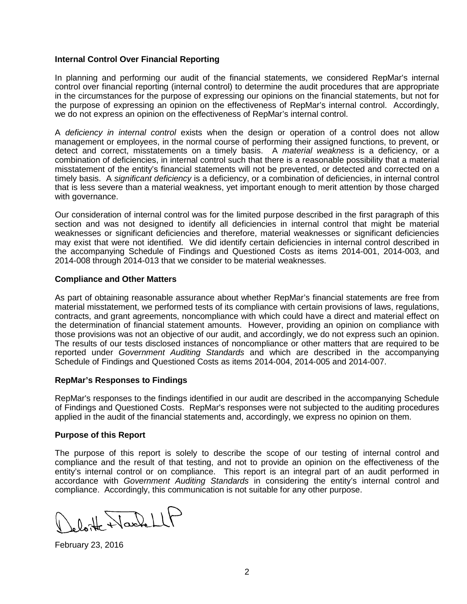### **Internal Control Over Financial Reporting**

In planning and performing our audit of the financial statements, we considered RepMar's internal control over financial reporting (internal control) to determine the audit procedures that are appropriate in the circumstances for the purpose of expressing our opinions on the financial statements, but not for the purpose of expressing an opinion on the effectiveness of RepMar's internal control. Accordingly, we do not express an opinion on the effectiveness of RepMar's internal control.

A *deficiency in internal control* exists when the design or operation of a control does not allow management or employees, in the normal course of performing their assigned functions, to prevent, or detect and correct, misstatements on a timely basis. A *material weakness* is a deficiency, or a combination of deficiencies, in internal control such that there is a reasonable possibility that a material misstatement of the entity's financial statements will not be prevented, or detected and corrected on a timely basis. A *significant deficiency* is a deficiency, or a combination of deficiencies, in internal control that is less severe than a material weakness, yet important enough to merit attention by those charged with governance.

Our consideration of internal control was for the limited purpose described in the first paragraph of this section and was not designed to identify all deficiencies in internal control that might be material weaknesses or significant deficiencies and therefore, material weaknesses or significant deficiencies may exist that were not identified. We did identify certain deficiencies in internal control described in the accompanying Schedule of Findings and Questioned Costs as items 2014-001, 2014-003, and 2014-008 through 2014-013 that we consider to be material weaknesses.

## **Compliance and Other Matters**

As part of obtaining reasonable assurance about whether RepMar's financial statements are free from material misstatement, we performed tests of its compliance with certain provisions of laws, regulations, contracts, and grant agreements, noncompliance with which could have a direct and material effect on the determination of financial statement amounts. However, providing an opinion on compliance with those provisions was not an objective of our audit, and accordingly, we do not express such an opinion. The results of our tests disclosed instances of noncompliance or other matters that are required to be reported under *Government Auditing Standards* and which are described in the accompanying Schedule of Findings and Questioned Costs as items 2014-004, 2014-005 and 2014-007.

#### **RepMar's Responses to Findings**

RepMar's responses to the findings identified in our audit are described in the accompanying Schedule of Findings and Questioned Costs. RepMar's responses were not subjected to the auditing procedures applied in the audit of the financial statements and, accordingly, we express no opinion on them.

#### **Purpose of this Report**

The purpose of this report is solely to describe the scope of our testing of internal control and compliance and the result of that testing, and not to provide an opinion on the effectiveness of the entity's internal control or on compliance. This report is an integral part of an audit performed in accordance with *Government Auditing Standards* in considering the entity's internal control and compliance. Accordingly, this communication is not suitable for any other purpose.

Jeloitte WackellP

February 23, 2016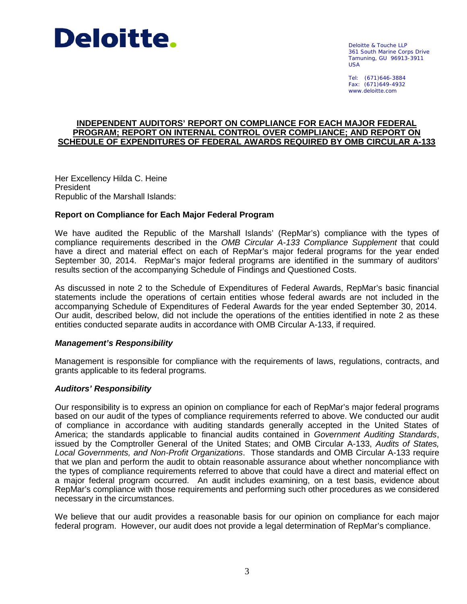

Deloitte & Touche LLP 361 South Marine Corps Drive Tamuning, GU 96913-3911 USA

Tel: (671)646-3884 Fax: (671)649-4932 www.deloitte.com

#### **INDEPENDENT AUDITORS' REPORT ON COMPLIANCE FOR EACH MAJOR FEDERAL PROGRAM; REPORT ON INTERNAL CONTROL OVER COMPLIANCE; AND REPORT ON SCHEDULE OF EXPENDITURES OF FEDERAL AWARDS REQUIRED BY OMB CIRCULAR A-133**

Her Excellency Hilda C. Heine President Republic of the Marshall Islands:

#### **Report on Compliance for Each Major Federal Program**

We have audited the Republic of the Marshall Islands' (RepMar's) compliance with the types of compliance requirements described in the *OMB Circular A-133 Compliance Supplement* that could have a direct and material effect on each of RepMar's major federal programs for the year ended September 30, 2014. RepMar's major federal programs are identified in the summary of auditors' results section of the accompanying Schedule of Findings and Questioned Costs.

As discussed in note 2 to the Schedule of Expenditures of Federal Awards, RepMar's basic financial statements include the operations of certain entities whose federal awards are not included in the accompanying Schedule of Expenditures of Federal Awards for the year ended September 30, 2014. Our audit, described below, did not include the operations of the entities identified in note 2 as these entities conducted separate audits in accordance with OMB Circular A-133, if required.

#### *Management's Responsibility*

Management is responsible for compliance with the requirements of laws, regulations, contracts, and grants applicable to its federal programs.

#### *Auditors' Responsibility*

Our responsibility is to express an opinion on compliance for each of RepMar's major federal programs based on our audit of the types of compliance requirements referred to above. We conducted our audit of compliance in accordance with auditing standards generally accepted in the United States of America; the standards applicable to financial audits contained in *Government Auditing Standards*, issued by the Comptroller General of the United States; and OMB Circular A-133, *Audits of States, Local Governments, and Non-Profit Organizations*. Those standards and OMB Circular A-133 require that we plan and perform the audit to obtain reasonable assurance about whether noncompliance with the types of compliance requirements referred to above that could have a direct and material effect on a major federal program occurred. An audit includes examining, on a test basis, evidence about RepMar's compliance with those requirements and performing such other procedures as we considered necessary in the circumstances.

We believe that our audit provides a reasonable basis for our opinion on compliance for each major federal program. However, our audit does not provide a legal determination of RepMar's compliance.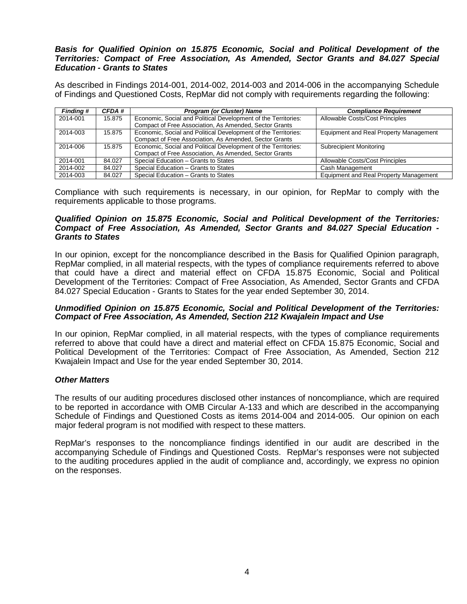#### *Basis for Qualified Opinion on 15.875 Economic, Social and Political Development of the Territories: Compact of Free Association, As Amended, Sector Grants and 84.027 Special Education - Grants to States*

As described in Findings 2014-001, 2014-002, 2014-003 and 2014-006 in the accompanying Schedule of Findings and Questioned Costs, RepMar did not comply with requirements regarding the following:

| <b>Finding #</b> | CFDA # | <b>Program (or Cluster) Name</b>                                                                                         | <b>Compliance Requirement</b>          |
|------------------|--------|--------------------------------------------------------------------------------------------------------------------------|----------------------------------------|
| 2014-001         | 15.875 | Economic, Social and Political Development of the Territories:<br>Compact of Free Association, As Amended, Sector Grants | Allowable Costs/Cost Principles        |
| 2014-003         | 15.875 | Economic, Social and Political Development of the Territories:<br>Compact of Free Association, As Amended, Sector Grants | Equipment and Real Property Management |
| 2014-006         | 15.875 | Economic, Social and Political Development of the Territories:<br>Compact of Free Association, As Amended, Sector Grants | Subrecipient Monitoring                |
| 2014-001         | 84.027 | Special Education - Grants to States                                                                                     | Allowable Costs/Cost Principles        |
| 2014-002         | 84.027 | Special Education - Grants to States                                                                                     | Cash Management                        |
| 2014-003         | 84.027 | Special Education - Grants to States                                                                                     | Equipment and Real Property Management |

Compliance with such requirements is necessary, in our opinion, for RepMar to comply with the requirements applicable to those programs.

#### *Qualified Opinion on 15.875 Economic, Social and Political Development of the Territories: Compact of Free Association, As Amended, Sector Grants and 84.027 Special Education - Grants to States*

In our opinion, except for the noncompliance described in the Basis for Qualified Opinion paragraph, RepMar complied, in all material respects, with the types of compliance requirements referred to above that could have a direct and material effect on CFDA 15.875 Economic, Social and Political Development of the Territories: Compact of Free Association, As Amended, Sector Grants and CFDA 84.027 Special Education - Grants to States for the year ended September 30, 2014.

#### *Unmodified Opinion on 15.875 Economic, Social and Political Development of the Territories: Compact of Free Association, As Amended, Section 212 Kwajalein Impact and Use*

In our opinion, RepMar complied, in all material respects, with the types of compliance requirements referred to above that could have a direct and material effect on CFDA 15.875 Economic, Social and Political Development of the Territories: Compact of Free Association, As Amended, Section 212 Kwajalein Impact and Use for the year ended September 30, 2014.

## *Other Matters*

The results of our auditing procedures disclosed other instances of noncompliance, which are required to be reported in accordance with OMB Circular A-133 and which are described in the accompanying Schedule of Findings and Questioned Costs as items 2014-004 and 2014-005. Our opinion on each major federal program is not modified with respect to these matters.

RepMar's responses to the noncompliance findings identified in our audit are described in the accompanying Schedule of Findings and Questioned Costs. RepMar's responses were not subjected to the auditing procedures applied in the audit of compliance and, accordingly, we express no opinion on the responses.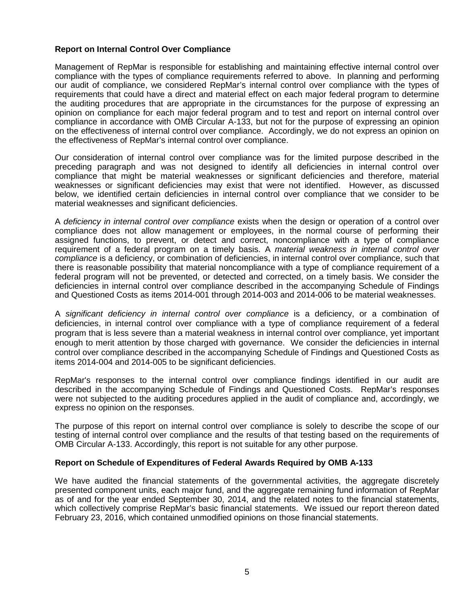## **Report on Internal Control Over Compliance**

Management of RepMar is responsible for establishing and maintaining effective internal control over compliance with the types of compliance requirements referred to above. In planning and performing our audit of compliance, we considered RepMar's internal control over compliance with the types of requirements that could have a direct and material effect on each major federal program to determine the auditing procedures that are appropriate in the circumstances for the purpose of expressing an opinion on compliance for each major federal program and to test and report on internal control over compliance in accordance with OMB Circular A-133, but not for the purpose of expressing an opinion on the effectiveness of internal control over compliance. Accordingly, we do not express an opinion on the effectiveness of RepMar's internal control over compliance.

Our consideration of internal control over compliance was for the limited purpose described in the preceding paragraph and was not designed to identify all deficiencies in internal control over compliance that might be material weaknesses or significant deficiencies and therefore, material weaknesses or significant deficiencies may exist that were not identified. However, as discussed below, we identified certain deficiencies in internal control over compliance that we consider to be material weaknesses and significant deficiencies.

A *deficiency in internal control over compliance* exists when the design or operation of a control over compliance does not allow management or employees, in the normal course of performing their assigned functions, to prevent, or detect and correct, noncompliance with a type of compliance requirement of a federal program on a timely basis. A *material weakness in internal control over compliance* is a deficiency, or combination of deficiencies, in internal control over compliance, such that there is reasonable possibility that material noncompliance with a type of compliance requirement of a federal program will not be prevented, or detected and corrected, on a timely basis. We consider the deficiencies in internal control over compliance described in the accompanying Schedule of Findings and Questioned Costs as items 2014-001 through 2014-003 and 2014-006 to be material weaknesses.

A *significant deficiency in internal control over compliance* is a deficiency, or a combination of deficiencies, in internal control over compliance with a type of compliance requirement of a federal program that is less severe than a material weakness in internal control over compliance, yet important enough to merit attention by those charged with governance. We consider the deficiencies in internal control over compliance described in the accompanying Schedule of Findings and Questioned Costs as items 2014-004 and 2014-005 to be significant deficiencies.

RepMar's responses to the internal control over compliance findings identified in our audit are described in the accompanying Schedule of Findings and Questioned Costs. RepMar's responses were not subjected to the auditing procedures applied in the audit of compliance and, accordingly, we express no opinion on the responses.

The purpose of this report on internal control over compliance is solely to describe the scope of our testing of internal control over compliance and the results of that testing based on the requirements of OMB Circular A-133. Accordingly, this report is not suitable for any other purpose.

#### **Report on Schedule of Expenditures of Federal Awards Required by OMB A-133**

We have audited the financial statements of the governmental activities, the aggregate discretely presented component units, each major fund, and the aggregate remaining fund information of RepMar as of and for the year ended September 30, 2014, and the related notes to the financial statements, which collectively comprise RepMar's basic financial statements. We issued our report thereon dated February 23, 2016, which contained unmodified opinions on those financial statements.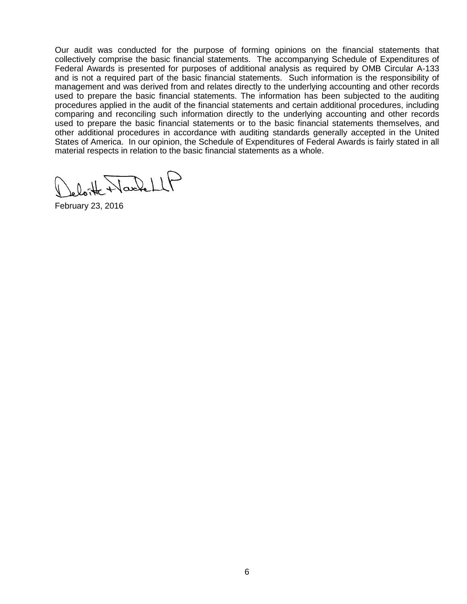Our audit was conducted for the purpose of forming opinions on the financial statements that collectively comprise the basic financial statements. The accompanying Schedule of Expenditures of Federal Awards is presented for purposes of additional analysis as required by OMB Circular A-133 and is not a required part of the basic financial statements. Such information is the responsibility of management and was derived from and relates directly to the underlying accounting and other records used to prepare the basic financial statements. The information has been subjected to the auditing procedures applied in the audit of the financial statements and certain additional procedures, including comparing and reconciling such information directly to the underlying accounting and other records used to prepare the basic financial statements or to the basic financial statements themselves, and other additional procedures in accordance with auditing standards generally accepted in the United States of America. In our opinion, the Schedule of Expenditures of Federal Awards is fairly stated in all material respects in relation to the basic financial statements as a whole.

beloit NachellP

February 23, 2016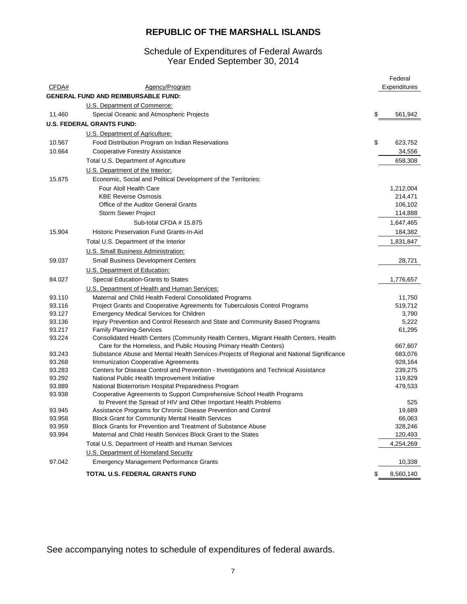## Schedule of Expenditures of Federal Awards Year Ended September 30, 2014

|        |                                                                                           | Federal         |
|--------|-------------------------------------------------------------------------------------------|-----------------|
| CFDA#  | Agency/Program                                                                            | Expenditures    |
|        | <b>GENERAL FUND AND REIMBURSABLE FUND:</b>                                                |                 |
|        | U.S. Department of Commerce:                                                              |                 |
| 11.460 | Special Oceanic and Atmospheric Projects                                                  | \$<br>561,942   |
|        | <b>U.S. FEDERAL GRANTS FUND:</b>                                                          |                 |
|        | U.S. Department of Agriculture:                                                           |                 |
| 10.567 | Food Distribution Program on Indian Reservations                                          | \$<br>623,752   |
| 10.664 | <b>Cooperative Forestry Assistance</b>                                                    | 34,556          |
|        | Total U.S. Department of Agriculture                                                      | 658,308         |
|        | U.S. Department of the Interior:                                                          |                 |
| 15.875 | Economic, Social and Political Development of the Territories:                            |                 |
|        | Four Atoll Health Care                                                                    | 1,212,004       |
|        | <b>KBE Reverse Osmosis</b>                                                                | 214,471         |
|        | Office of the Auditor General Grants                                                      | 106,102         |
|        | Storm Sewer Project                                                                       | 114,888         |
|        | Sub-total CFDA # 15.875                                                                   | 1,647,465       |
| 15.904 | Historic Preservation Fund Grants-In-Aid                                                  | 184,382         |
|        | Total U.S. Department of the Interior                                                     | 1,831,847       |
|        | U.S. Small Business Administration:                                                       |                 |
|        |                                                                                           | 28,721          |
| 59.037 | <b>Small Business Development Centers</b>                                                 |                 |
|        | U.S. Department of Education:                                                             |                 |
| 84.027 | Special Education-Grants to States                                                        | 1,776,657       |
|        | U.S. Department of Health and Human Services:                                             |                 |
| 93.110 | Maternal and Child Health Federal Consolidated Programs                                   | 11,750          |
| 93.116 | Project Grants and Cooperative Agreements for Tuberculosis Control Programs               | 519,712         |
| 93.127 | <b>Emergency Medical Services for Children</b>                                            | 3,790           |
| 93.136 | Injury Prevention and Control Research and State and Community Based Programs             | 5,222           |
| 93.217 | <b>Family Planning Services</b>                                                           | 61,295          |
| 93.224 | Consolidated Health Centers (Community Health Centers, Migrant Health Centers, Health     |                 |
|        | Care for the Homeless, and Public Housing Primary Health Centers)                         | 667,607         |
| 93.243 | Substance Abuse and Mental Health Services-Projects of Regional and National Significance | 683,076         |
| 93.268 | <b>Immunization Cooperative Agreements</b>                                                | 928,164         |
| 93.283 | Centers for Disease Control and Prevention - Investigations and Technical Assistance      | 239,275         |
| 93.292 | National Public Health Improvement Initiative                                             | 119,829         |
| 93.889 | National Bioterrorism Hospital Preparedness Program                                       | 479,533         |
| 93.938 | Cooperative Agreements to Support Comprehensive School Health Programs                    |                 |
|        | to Prevent the Spread of HIV and Other Important Health Problems                          | 525             |
| 93.945 | Assistance Programs for Chronic Disease Prevention and Control                            | 19,689          |
| 93.958 | <b>Block Grant for Community Mental Health Services</b>                                   | 66,063          |
| 93.959 | Block Grants for Prevention and Treatment of Substance Abuse                              | 328,246         |
| 93.994 | Maternal and Child Health Services Block Grant to the States                              | 120,493         |
|        | Total U.S. Department of Health and Human Services                                        | 4,254,269       |
|        | U.S. Department of Homeland Security                                                      |                 |
| 97.042 | <b>Emergency Management Performance Grants</b>                                            | 10,338          |
|        | TOTAL U.S. FEDERAL GRANTS FUND                                                            | \$<br>8,560,140 |

See accompanying notes to schedule of expenditures of federal awards.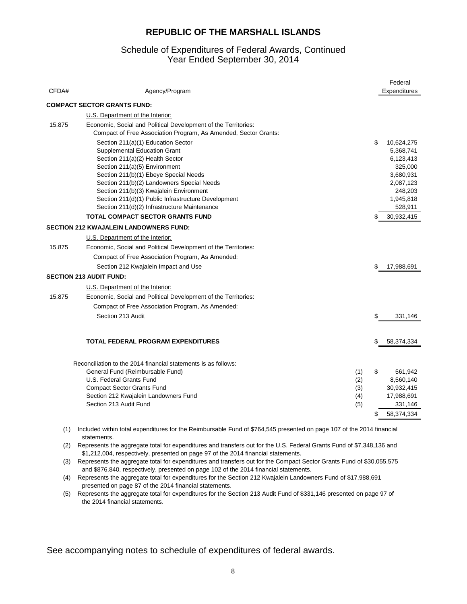#### Year Ended September 30, 2014 Schedule of Expenditures of Federal Awards, Continued

|        |                                                                                                                                                                                                                                                                                                                                                                                        |     | Federal                                                                                                            |
|--------|----------------------------------------------------------------------------------------------------------------------------------------------------------------------------------------------------------------------------------------------------------------------------------------------------------------------------------------------------------------------------------------|-----|--------------------------------------------------------------------------------------------------------------------|
| CFDA#  | Agency/Program                                                                                                                                                                                                                                                                                                                                                                         |     | Expenditures                                                                                                       |
|        | <b>COMPACT SECTOR GRANTS FUND:</b>                                                                                                                                                                                                                                                                                                                                                     |     |                                                                                                                    |
|        | U.S. Department of the Interior:                                                                                                                                                                                                                                                                                                                                                       |     |                                                                                                                    |
| 15.875 | Economic, Social and Political Development of the Territories:<br>Compact of Free Association Program, As Amended, Sector Grants:                                                                                                                                                                                                                                                      |     |                                                                                                                    |
|        | Section 211(a)(1) Education Sector<br><b>Supplemental Education Grant</b><br>Section 211(a)(2) Health Sector<br>Section 211(a)(5) Environment<br>Section 211(b)(1) Ebeye Special Needs<br>Section 211(b)(2) Landowners Special Needs<br>Section 211(b)(3) Kwajalein Environment<br>Section 211(d)(1) Public Infrastructure Development<br>Section 211(d)(2) Infrastructure Maintenance |     | \$<br>10,624,275<br>5,368,741<br>6,123,413<br>325,000<br>3,680,931<br>2,087,123<br>248,203<br>1,945,818<br>528,911 |
|        | <b>TOTAL COMPACT SECTOR GRANTS FUND</b>                                                                                                                                                                                                                                                                                                                                                |     | 30,932,415                                                                                                         |
|        | <b>SECTION 212 KWAJALEIN LANDOWNERS FUND:</b>                                                                                                                                                                                                                                                                                                                                          |     |                                                                                                                    |
|        | U.S. Department of the Interior:                                                                                                                                                                                                                                                                                                                                                       |     |                                                                                                                    |
| 15.875 | Economic, Social and Political Development of the Territories:                                                                                                                                                                                                                                                                                                                         |     |                                                                                                                    |
|        | Compact of Free Association Program, As Amended:                                                                                                                                                                                                                                                                                                                                       |     |                                                                                                                    |
|        | Section 212 Kwajalein Impact and Use                                                                                                                                                                                                                                                                                                                                                   |     | 17,988,691                                                                                                         |
|        | <b>SECTION 213 AUDIT FUND:</b>                                                                                                                                                                                                                                                                                                                                                         |     |                                                                                                                    |
|        | U.S. Department of the Interior:                                                                                                                                                                                                                                                                                                                                                       |     |                                                                                                                    |
| 15.875 | Economic, Social and Political Development of the Territories:                                                                                                                                                                                                                                                                                                                         |     |                                                                                                                    |
|        | Compact of Free Association Program, As Amended:                                                                                                                                                                                                                                                                                                                                       |     |                                                                                                                    |
|        | Section 213 Audit                                                                                                                                                                                                                                                                                                                                                                      |     | \$<br>331,146                                                                                                      |
|        |                                                                                                                                                                                                                                                                                                                                                                                        |     |                                                                                                                    |
|        | <b>TOTAL FEDERAL PROGRAM EXPENDITURES</b>                                                                                                                                                                                                                                                                                                                                              |     | \$<br>58,374,334                                                                                                   |
|        | Reconciliation to the 2014 financial statements is as follows:                                                                                                                                                                                                                                                                                                                         |     |                                                                                                                    |
|        | General Fund (Reimbursable Fund)                                                                                                                                                                                                                                                                                                                                                       | (1) | \$<br>561,942                                                                                                      |
|        | U.S. Federal Grants Fund                                                                                                                                                                                                                                                                                                                                                               | (2) | 8,560,140                                                                                                          |
|        | <b>Compact Sector Grants Fund</b>                                                                                                                                                                                                                                                                                                                                                      | (3) | 30,932,415                                                                                                         |
|        | Section 212 Kwajalein Landowners Fund                                                                                                                                                                                                                                                                                                                                                  | (4) | 17,988,691                                                                                                         |
|        | Section 213 Audit Fund                                                                                                                                                                                                                                                                                                                                                                 | (5) | 331,146                                                                                                            |
|        |                                                                                                                                                                                                                                                                                                                                                                                        |     | 58,374,334                                                                                                         |
|        |                                                                                                                                                                                                                                                                                                                                                                                        |     |                                                                                                                    |

(1) Included within total expenditures for the Reimbursable Fund of \$764,545 presented on page 107 of the 2014 financial statements.

(2) Represents the aggregate total for expenditures and transfers out for the U.S. Federal Grants Fund of \$7,348,136 and \$1,212,004, respectively, presented on page 97 of the 2014 financial statements.

(3) Represents the aggregate total for expenditures and transfers out for the Compact Sector Grants Fund of \$30,055,575 and \$876,840, respectively, presented on page 102 of the 2014 financial statements.

(4) Represents the aggregate total for expenditures for the Section 212 Kwajalein Landowners Fund of \$17,988,691 presented on page 87 of the 2014 financial statements.

(5) Represents the aggregate total for expenditures for the Section 213 Audit Fund of \$331,146 presented on page 97 of the 2014 financial statements.

See accompanying notes to schedule of expenditures of federal awards.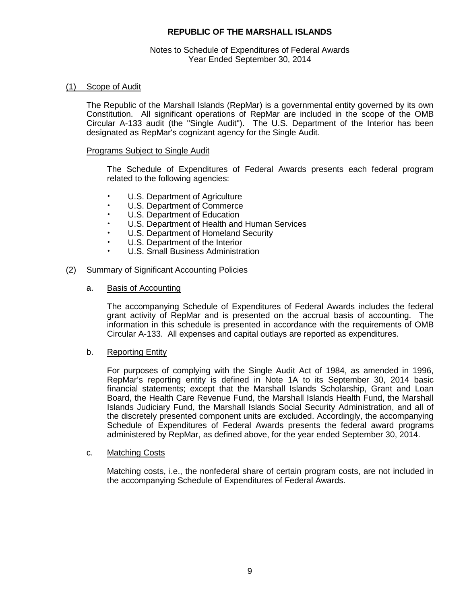#### Notes to Schedule of Expenditures of Federal Awards Year Ended September 30, 2014

#### (1) Scope of Audit

The Republic of the Marshall Islands (RepMar) is a governmental entity governed by its own Constitution. All significant operations of RepMar are included in the scope of the OMB Circular A-133 audit (the "Single Audit"). The U.S. Department of the Interior has been designated as RepMar's cognizant agency for the Single Audit.

#### Programs Subject to Single Audit

The Schedule of Expenditures of Federal Awards presents each federal program related to the following agencies:

- U.S. Department of Agriculture<br>U.S. Department of Commerce
- U.S. Department of Commerce
- U.S. Department of Education
- U.S. Department of Health and Human Services
- U.S. Department of Homeland Security
- U.S. Department of the Interior
- U.S. Small Business Administration

#### (2) Summary of Significant Accounting Policies

a. Basis of Accounting

The accompanying Schedule of Expenditures of Federal Awards includes the federal grant activity of RepMar and is presented on the accrual basis of accounting. The information in this schedule is presented in accordance with the requirements of OMB Circular A-133. All expenses and capital outlays are reported as expenditures.

#### b. Reporting Entity

For purposes of complying with the Single Audit Act of 1984, as amended in 1996, RepMar's reporting entity is defined in Note 1A to its September 30, 2014 basic financial statements; except that the Marshall Islands Scholarship, Grant and Loan Board, the Health Care Revenue Fund, the Marshall Islands Health Fund, the Marshall Islands Judiciary Fund, the Marshall Islands Social Security Administration, and all of the discretely presented component units are excluded. Accordingly, the accompanying Schedule of Expenditures of Federal Awards presents the federal award programs administered by RepMar, as defined above, for the year ended September 30, 2014.

#### c. Matching Costs

Matching costs, i.e., the nonfederal share of certain program costs, are not included in the accompanying Schedule of Expenditures of Federal Awards.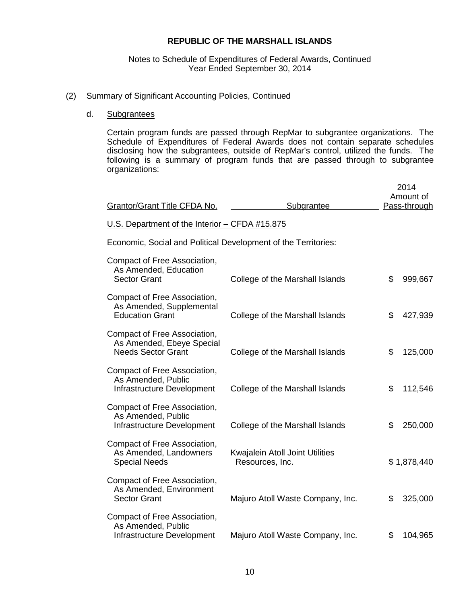#### Notes to Schedule of Expenditures of Federal Awards, Continued Year Ended September 30, 2014

#### (2) Summary of Significant Accounting Policies, Continued

#### d. Subgrantees

Certain program funds are passed through RepMar to subgrantee organizations. The Schedule of Expenditures of Federal Awards does not contain separate schedules disclosing how the subgrantees, outside of RepMar's control, utilized the funds. The following is a summary of program funds that are passed through to subgrantee organizations:

| Grantor/Grant Title CFDA No.                                                           | Subgrantee                                         | 2014<br>Amount of<br>Pass-through |
|----------------------------------------------------------------------------------------|----------------------------------------------------|-----------------------------------|
| U.S. Department of the Interior - CFDA #15.875                                         |                                                    |                                   |
| Economic, Social and Political Development of the Territories:                         |                                                    |                                   |
| Compact of Free Association,<br>As Amended, Education<br><b>Sector Grant</b>           | College of the Marshall Islands                    | \$<br>999,667                     |
| Compact of Free Association,<br>As Amended, Supplemental<br><b>Education Grant</b>     | College of the Marshall Islands                    | \$<br>427,939                     |
| Compact of Free Association,<br>As Amended, Ebeye Special<br><b>Needs Sector Grant</b> | College of the Marshall Islands                    | \$<br>125,000                     |
| Compact of Free Association,<br>As Amended, Public<br>Infrastructure Development       | College of the Marshall Islands                    | \$<br>112,546                     |
| Compact of Free Association,<br>As Amended, Public<br>Infrastructure Development       | College of the Marshall Islands                    | \$<br>250,000                     |
| Compact of Free Association,<br>As Amended, Landowners<br><b>Special Needs</b>         | Kwajalein Atoll Joint Utilities<br>Resources, Inc. | \$1,878,440                       |
| Compact of Free Association,<br>As Amended, Environment<br><b>Sector Grant</b>         | Majuro Atoll Waste Company, Inc.                   | \$<br>325,000                     |
| Compact of Free Association,<br>As Amended, Public<br>Infrastructure Development       | Majuro Atoll Waste Company, Inc.                   | \$<br>104,965                     |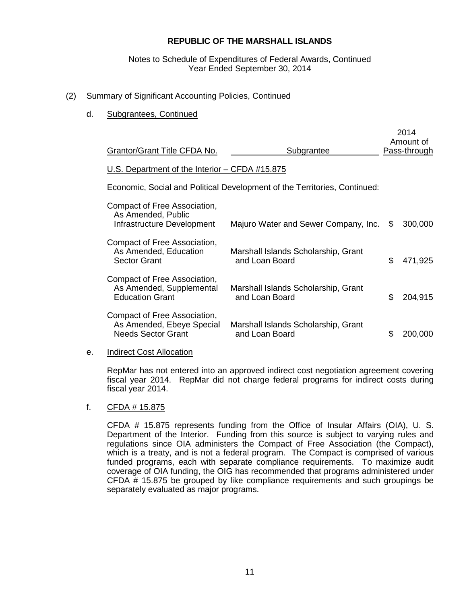### Notes to Schedule of Expenditures of Federal Awards, Continued Year Ended September 30, 2014

## (2) Summary of Significant Accounting Policies, Continued

## d. Subgrantees, Continued

| <b>Grantor/Grant Title CFDA No.</b>                                                    | Subgrantee                                                                |    | 2014<br>Amount of<br><b>Pass-through</b> |
|----------------------------------------------------------------------------------------|---------------------------------------------------------------------------|----|------------------------------------------|
| U.S. Department of the Interior - CFDA #15.875                                         |                                                                           |    |                                          |
|                                                                                        | Economic, Social and Political Development of the Territories, Continued: |    |                                          |
| Compact of Free Association,<br>As Amended, Public<br>Infrastructure Development       | Majuro Water and Sewer Company, Inc.                                      | S  | 300,000                                  |
| Compact of Free Association,<br>As Amended, Education<br><b>Sector Grant</b>           | Marshall Islands Scholarship, Grant<br>and Loan Board                     | \$ | 471,925                                  |
| Compact of Free Association,<br>As Amended, Supplemental<br><b>Education Grant</b>     | Marshall Islands Scholarship, Grant<br>and Loan Board                     | \$ | 204,915                                  |
| Compact of Free Association,<br>As Amended, Ebeye Special<br><b>Needs Sector Grant</b> | Marshall Islands Scholarship, Grant<br>and Loan Board                     | £. | 200,000                                  |

#### e. Indirect Cost Allocation

RepMar has not entered into an approved indirect cost negotiation agreement covering fiscal year 2014. RepMar did not charge federal programs for indirect costs during fiscal year 2014.

#### f. CFDA # 15.875

CFDA # 15.875 represents funding from the Office of Insular Affairs (OIA), U. S. Department of the Interior. Funding from this source is subject to varying rules and regulations since OIA administers the Compact of Free Association (the Compact), which is a treaty, and is not a federal program. The Compact is comprised of various funded programs, each with separate compliance requirements. To maximize audit coverage of OIA funding, the OIG has recommended that programs administered under CFDA # 15.875 be grouped by like compliance requirements and such groupings be separately evaluated as major programs.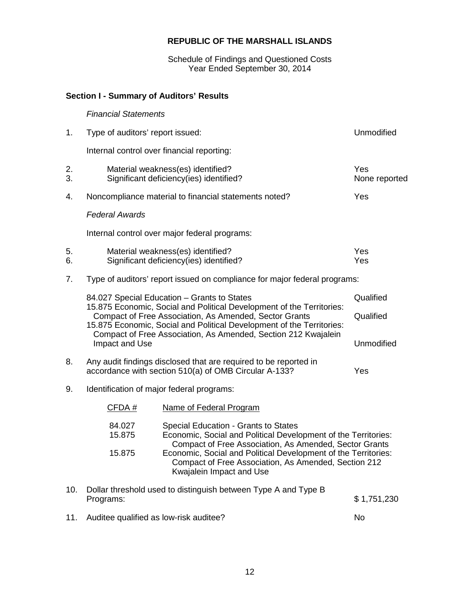Schedule of Findings and Questioned Costs Year Ended September 30, 2014

# **Section I - Summary of Auditors' Results**

# *Financial Statements*

| 1.       | Type of auditors' report issued:                                                                                                                                                                                                                                           | <b>Unmodified</b>                                                                                                                                                |                      |  |
|----------|----------------------------------------------------------------------------------------------------------------------------------------------------------------------------------------------------------------------------------------------------------------------------|------------------------------------------------------------------------------------------------------------------------------------------------------------------|----------------------|--|
|          | Internal control over financial reporting:                                                                                                                                                                                                                                 |                                                                                                                                                                  |                      |  |
| 2.<br>3. |                                                                                                                                                                                                                                                                            | Material weakness(es) identified?<br>Significant deficiency(ies) identified?                                                                                     | Yes<br>None reported |  |
| 4.       |                                                                                                                                                                                                                                                                            | Noncompliance material to financial statements noted?                                                                                                            | Yes                  |  |
|          | <b>Federal Awards</b>                                                                                                                                                                                                                                                      |                                                                                                                                                                  |                      |  |
|          |                                                                                                                                                                                                                                                                            | Internal control over major federal programs:                                                                                                                    |                      |  |
| 5.<br>6. |                                                                                                                                                                                                                                                                            | Material weakness(es) identified?<br>Significant deficiency(ies) identified?                                                                                     | Yes<br>Yes           |  |
| 7.       | Type of auditors' report issued on compliance for major federal programs:                                                                                                                                                                                                  |                                                                                                                                                                  |                      |  |
|          | 84.027 Special Education - Grants to States                                                                                                                                                                                                                                | Qualified                                                                                                                                                        |                      |  |
|          | 15.875 Economic, Social and Political Development of the Territories:<br>Compact of Free Association, As Amended, Sector Grants<br>15.875 Economic, Social and Political Development of the Territories:<br>Compact of Free Association, As Amended, Section 212 Kwajalein | Qualified                                                                                                                                                        |                      |  |
|          | Impact and Use                                                                                                                                                                                                                                                             |                                                                                                                                                                  | Unmodified           |  |
| 8.       | Any audit findings disclosed that are required to be reported in<br>accordance with section 510(a) of OMB Circular A-133?<br>Yes                                                                                                                                           |                                                                                                                                                                  |                      |  |
| 9.       | Identification of major federal programs:                                                                                                                                                                                                                                  |                                                                                                                                                                  |                      |  |
|          | CFDA#                                                                                                                                                                                                                                                                      | Name of Federal Program                                                                                                                                          |                      |  |
|          | 84.027<br>15.875                                                                                                                                                                                                                                                           | Special Education - Grants to States<br>Economic, Social and Political Development of the Territories:<br>Compact of Free Association, As Amended, Sector Grants |                      |  |
|          | 15.875                                                                                                                                                                                                                                                                     | Economic, Social and Political Development of the Territories:<br>Compact of Free Association, As Amended, Section 212<br>Kwajalein Impact and Use               |                      |  |
| 10.      | Programs:                                                                                                                                                                                                                                                                  | Dollar threshold used to distinguish between Type A and Type B                                                                                                   | \$1,751,230          |  |

11. Auditee qualified as low-risk auditee? No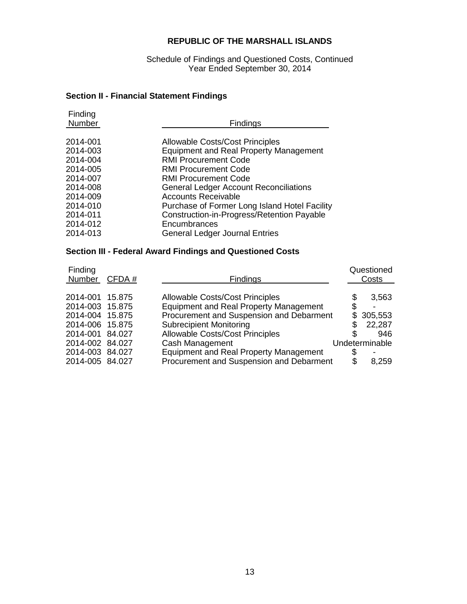Schedule of Findings and Questioned Costs, Continued Year Ended September 30, 2014

# **Section II - Financial Statement Findings**

| Finding<br>Number | <b>Findings</b>                               |
|-------------------|-----------------------------------------------|
| 2014-001          | <b>Allowable Costs/Cost Principles</b>        |
| 2014-003          | <b>Equipment and Real Property Management</b> |
| 2014-004          | <b>RMI Procurement Code</b>                   |
| 2014-005          | <b>RMI Procurement Code</b>                   |
| 2014-007          | <b>RMI Procurement Code</b>                   |
| 2014-008          | <b>General Ledger Account Reconciliations</b> |
| 2014-009          | <b>Accounts Receivable</b>                    |
| 2014-010          | Purchase of Former Long Island Hotel Facility |
| 2014-011          | Construction-in-Progress/Retention Payable    |
| 2014-012          | Encumbrances                                  |
| 2014-013          | <b>General Ledger Journal Entries</b>         |
|                   |                                               |

# **Section III - Federal Award Findings and Questioned Costs**

| Finding<br>Number | CFDA# | Findings                                      | Questioned<br>Costs |
|-------------------|-------|-----------------------------------------------|---------------------|
|                   |       |                                               |                     |
| 2014-001 15.875   |       | <b>Allowable Costs/Cost Principles</b>        | 3,563               |
| 2014-003 15.875   |       | <b>Equipment and Real Property Management</b> | $\blacksquare$      |
| 2014-004 15.875   |       | Procurement and Suspension and Debarment      | \$305,553           |
| 2014-006 15.875   |       | <b>Subrecipient Monitoring</b>                | 22,287              |
| 2014-001 84.027   |       | <b>Allowable Costs/Cost Principles</b>        | 946                 |
| 2014-002 84.027   |       | Cash Management                               | Undeterminable      |
| 2014-003 84.027   |       | <b>Equipment and Real Property Management</b> |                     |
| 2014-005 84.027   |       | Procurement and Suspension and Debarment      | 8,259               |
|                   |       |                                               |                     |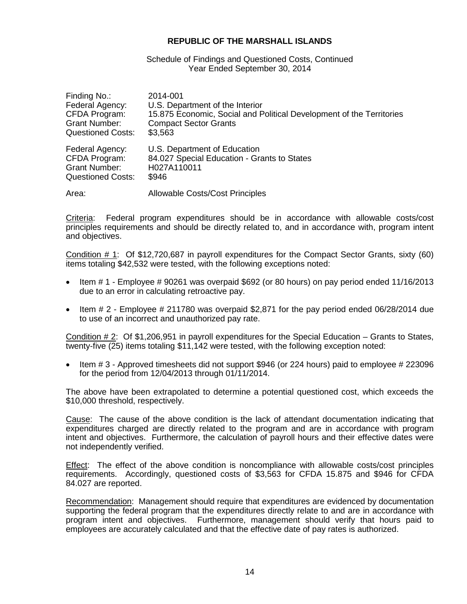#### Schedule of Findings and Questioned Costs, Continued Year Ended September 30, 2014

| Finding No.:             | 2014-001                                                             |
|--------------------------|----------------------------------------------------------------------|
| Federal Agency:          | U.S. Department of the Interior                                      |
| CFDA Program:            | 15.875 Economic, Social and Political Development of the Territories |
| <b>Grant Number:</b>     | <b>Compact Sector Grants</b>                                         |
| <b>Questioned Costs:</b> | \$3,563                                                              |
| Federal Agency:          | U.S. Department of Education                                         |
| CFDA Program:            | 84.027 Special Education - Grants to States                          |
| <b>Grant Number:</b>     | H027A110011                                                          |
| <b>Questioned Costs:</b> | \$946                                                                |
| Area:                    | <b>Allowable Costs/Cost Principles</b>                               |

Criteria: Federal program expenditures should be in accordance with allowable costs/cost principles requirements and should be directly related to, and in accordance with, program intent and objectives.

Condition # 1: Of \$12,720,687 in payroll expenditures for the Compact Sector Grants, sixty (60) items totaling \$42,532 were tested, with the following exceptions noted:

- Item # 1 Employee # 90261 was overpaid \$692 (or 80 hours) on pay period ended 11/16/2013 due to an error in calculating retroactive pay.
- Item # 2 Employee # 211780 was overpaid \$2,871 for the pay period ended 06/28/2014 due to use of an incorrect and unauthorized pay rate.

Condition # 2: Of \$1,206,951 in payroll expenditures for the Special Education – Grants to States, twenty-five (25) items totaling \$11,142 were tested, with the following exception noted:

• Item # 3 - Approved timesheets did not support \$946 (or 224 hours) paid to employee # 223096 for the period from 12/04/2013 through 01/11/2014.

The above have been extrapolated to determine a potential questioned cost, which exceeds the \$10,000 threshold, respectively.

Cause: The cause of the above condition is the lack of attendant documentation indicating that expenditures charged are directly related to the program and are in accordance with program intent and objectives. Furthermore, the calculation of payroll hours and their effective dates were not independently verified.

Effect: The effect of the above condition is noncompliance with allowable costs/cost principles requirements. Accordingly, questioned costs of \$3,563 for CFDA 15.875 and \$946 for CFDA 84.027 are reported.

Recommendation: Management should require that expenditures are evidenced by documentation supporting the federal program that the expenditures directly relate to and are in accordance with program intent and objectives. Furthermore, management should verify that hours paid to employees are accurately calculated and that the effective date of pay rates is authorized.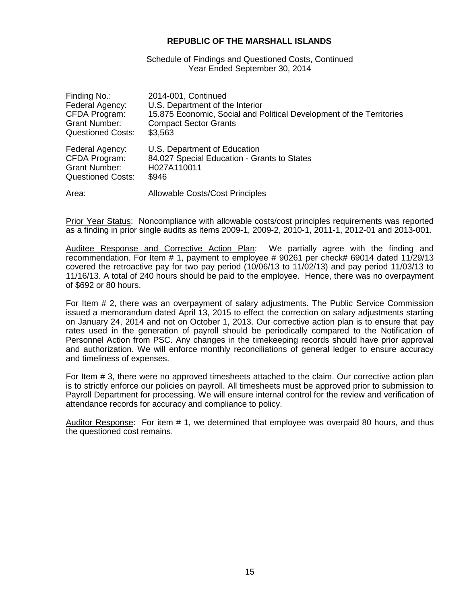Schedule of Findings and Questioned Costs, Continued Year Ended September 30, 2014

| Finding No.:             | 2014-001, Continued                                                  |
|--------------------------|----------------------------------------------------------------------|
| Federal Agency:          | U.S. Department of the Interior                                      |
| CFDA Program:            | 15.875 Economic, Social and Political Development of the Territories |
| <b>Grant Number:</b>     | <b>Compact Sector Grants</b>                                         |
| <b>Questioned Costs:</b> | \$3,563                                                              |
| Federal Agency:          | U.S. Department of Education                                         |
| CFDA Program:            | 84.027 Special Education - Grants to States                          |
| <b>Grant Number:</b>     | H027A110011                                                          |
| <b>Questioned Costs:</b> | \$946                                                                |
| Area:                    | <b>Allowable Costs/Cost Principles</b>                               |

Prior Year Status: Noncompliance with allowable costs/cost principles requirements was reported as a finding in prior single audits as items 2009-1, 2009-2, 2010-1, 2011-1, 2012-01 and 2013-001.

Auditee Response and Corrective Action Plan: We partially agree with the finding and recommendation. For Item # 1, payment to employee # 90261 per check# 69014 dated 11/29/13 covered the retroactive pay for two pay period (10/06/13 to 11/02/13) and pay period 11/03/13 to 11/16/13. A total of 240 hours should be paid to the employee. Hence, there was no overpayment of \$692 or 80 hours.

For Item # 2, there was an overpayment of salary adjustments. The Public Service Commission issued a memorandum dated April 13, 2015 to effect the correction on salary adjustments starting on January 24, 2014 and not on October 1, 2013. Our corrective action plan is to ensure that pay rates used in the generation of payroll should be periodically compared to the Notification of Personnel Action from PSC. Any changes in the timekeeping records should have prior approval and authorization. We will enforce monthly reconciliations of general ledger to ensure accuracy and timeliness of expenses.

For Item # 3, there were no approved timesheets attached to the claim. Our corrective action plan is to strictly enforce our policies on payroll. All timesheets must be approved prior to submission to Payroll Department for processing. We will ensure internal control for the review and verification of attendance records for accuracy and compliance to policy.

Auditor Response: For item # 1, we determined that employee was overpaid 80 hours, and thus the questioned cost remains.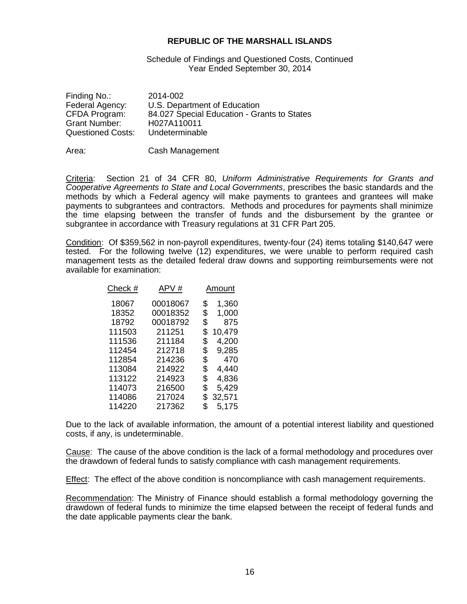#### Schedule of Findings and Questioned Costs, Continued Year Ended September 30, 2014

| Finding No.:<br>Federal Agency:<br>CFDA Program:<br><b>Grant Number:</b> | 2014-002<br>U.S. Department of Education<br>84.027 Special Education - Grants to States<br>H027A110011 |
|--------------------------------------------------------------------------|--------------------------------------------------------------------------------------------------------|
| <b>Questioned Costs:</b>                                                 | Undeterminable                                                                                         |
|                                                                          |                                                                                                        |

Area: Cash Management

Criteria: Section 21 of 34 CFR 80, *Uniform Administrative Requirements for Grants and Cooperative Agreements to State and Local Governments*, prescribes the basic standards and the methods by which a Federal agency will make payments to grantees and grantees will make payments to subgrantees and contractors. Methods and procedures for payments shall minimize the time elapsing between the transfer of funds and the disbursement by the grantee or subgrantee in accordance with Treasury regulations at 31 CFR Part 205.

Condition: Of \$359,562 in non-payroll expenditures, twenty-four (24) items totaling \$140,647 were tested. For the following twelve (12) expenditures, we were unable to perform required cash management tests as the detailed federal draw downs and supporting reimbursements were not available for examination:

|          |       | Amount |
|----------|-------|--------|
| 00018067 | \$    | 1,360  |
| 00018352 | \$    | 1,000  |
| 00018792 | \$    | 875    |
| 211251   | \$    | 10,479 |
| 211184   | \$    | 4,200  |
| 212718   | \$    | 9,285  |
| 214236   | \$    | 470    |
| 214922   | \$    | 4,440  |
| 214923   | \$    | 4,836  |
| 216500   | \$    | 5,429  |
| 217024   | \$    | 32,571 |
| 217362   | S     | 5,175  |
|          | APV # |        |

Due to the lack of available information, the amount of a potential interest liability and questioned costs, if any, is undeterminable.

Cause: The cause of the above condition is the lack of a formal methodology and procedures over the drawdown of federal funds to satisfy compliance with cash management requirements.

Effect: The effect of the above condition is noncompliance with cash management requirements.

Recommendation: The Ministry of Finance should establish a formal methodology governing the drawdown of federal funds to minimize the time elapsed between the receipt of federal funds and the date applicable payments clear the bank.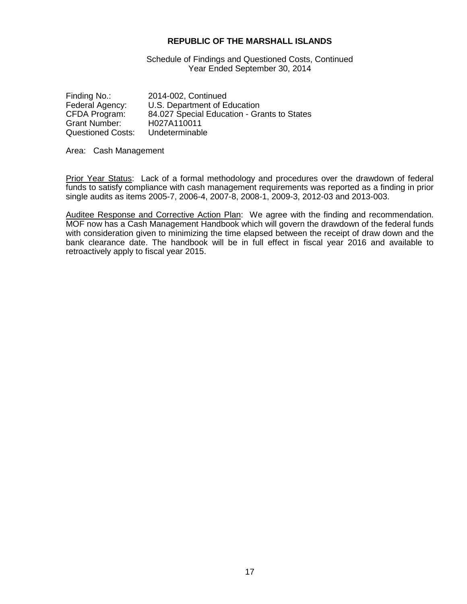Schedule of Findings and Questioned Costs, Continued Year Ended September 30, 2014

Finding No.: 2014-002, Continued<br>Federal Agency: U.S. Department of Equation Federal Agency: U.S. Department of Education<br>CFDA Program: 84.027 Special Education - Gra 84.027 Special Education - Grants to States<br>H027A110011 Grant Number:<br>Questioned Costs: **Undeterminable** 

Area: Cash Management

Prior Year Status: Lack of a formal methodology and procedures over the drawdown of federal funds to satisfy compliance with cash management requirements was reported as a finding in prior single audits as items 2005-7, 2006-4, 2007-8, 2008-1, 2009-3, 2012-03 and 2013-003.

Auditee Response and Corrective Action Plan: We agree with the finding and recommendation. MOF now has a Cash Management Handbook which will govern the drawdown of the federal funds with consideration given to minimizing the time elapsed between the receipt of draw down and the bank clearance date. The handbook will be in full effect in fiscal year 2016 and available to retroactively apply to fiscal year 2015.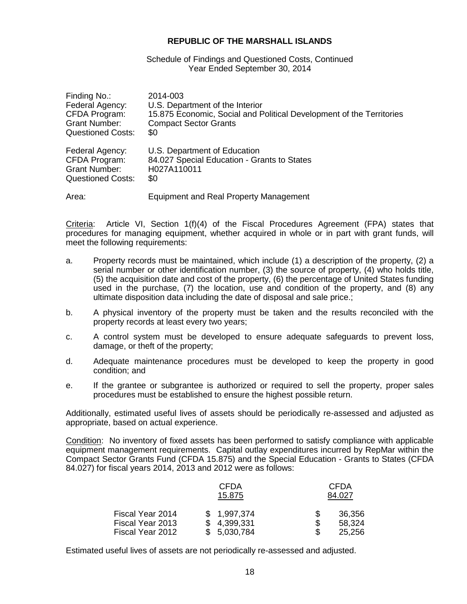#### Schedule of Findings and Questioned Costs, Continued Year Ended September 30, 2014

| Finding No.:             | 2014-003                                                             |
|--------------------------|----------------------------------------------------------------------|
| Federal Agency:          | U.S. Department of the Interior                                      |
| CFDA Program:            | 15.875 Economic, Social and Political Development of the Territories |
| <b>Grant Number:</b>     | <b>Compact Sector Grants</b>                                         |
| <b>Questioned Costs:</b> | \$0                                                                  |
| Federal Agency:          | U.S. Department of Education                                         |
| CFDA Program:            | 84.027 Special Education - Grants to States                          |
| <b>Grant Number:</b>     | H027A110011                                                          |
| <b>Questioned Costs:</b> | \$0                                                                  |
| Area:                    | Equipment and Real Property Management                               |

Criteria: Article VI, Section 1(f)(4) of the Fiscal Procedures Agreement (FPA) states that procedures for managing equipment, whether acquired in whole or in part with grant funds, will meet the following requirements:

- a. Property records must be maintained, which include (1) a description of the property, (2) a serial number or other identification number, (3) the source of property, (4) who holds title, (5) the acquisition date and cost of the property, (6) the percentage of United States funding used in the purchase, (7) the location, use and condition of the property, and (8) any ultimate disposition data including the date of disposal and sale price.;
- b. A physical inventory of the property must be taken and the results reconciled with the property records at least every two years;
- c. A control system must be developed to ensure adequate safeguards to prevent loss, damage, or theft of the property;
- d. Adequate maintenance procedures must be developed to keep the property in good condition; and
- e. If the grantee or subgrantee is authorized or required to sell the property, proper sales procedures must be established to ensure the highest possible return.

Additionally, estimated useful lives of assets should be periodically re-assessed and adjusted as appropriate, based on actual experience.

Condition: No inventory of fixed assets has been performed to satisfy compliance with applicable equipment management requirements. Capital outlay expenditures incurred by RepMar within the Compact Sector Grants Fund (CFDA 15.875) and the Special Education - Grants to States (CFDA 84.027) for fiscal years 2014, 2013 and 2012 were as follows:

|                  | <b>CFDA</b><br>15.875 |     | <b>CFDA</b><br>84.027 |
|------------------|-----------------------|-----|-----------------------|
| Fiscal Year 2014 | \$1,997,374           |     | 36,356                |
| Fiscal Year 2013 | \$4,399,331           | S   | 58,324                |
| Fiscal Year 2012 | \$5,030,784           | \$. | 25,256                |

Estimated useful lives of assets are not periodically re-assessed and adjusted.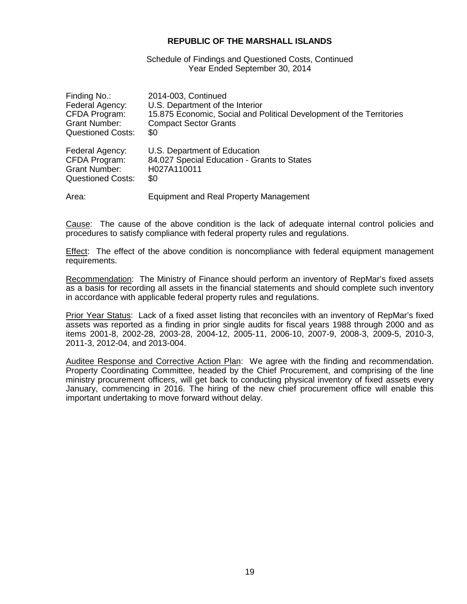Schedule of Findings and Questioned Costs, Continued Year Ended September 30, 2014

| Finding No.:             | 2014-003, Continued                                                  |
|--------------------------|----------------------------------------------------------------------|
| Federal Agency:          | U.S. Department of the Interior                                      |
| CFDA Program:            | 15.875 Economic, Social and Political Development of the Territories |
| <b>Grant Number:</b>     | <b>Compact Sector Grants</b>                                         |
| <b>Questioned Costs:</b> | \$0                                                                  |
| Federal Agency:          | U.S. Department of Education                                         |
| CFDA Program:            | 84.027 Special Education - Grants to States                          |
| <b>Grant Number:</b>     | H027A110011                                                          |
| Questioned Costs:        | \$0                                                                  |
| Area:                    | <b>Equipment and Real Property Management</b>                        |

Cause: The cause of the above condition is the lack of adequate internal control policies and procedures to satisfy compliance with federal property rules and regulations.

**Effect:** The effect of the above condition is noncompliance with federal equipment management requirements.

Recommendation: The Ministry of Finance should perform an inventory of RepMar's fixed assets as a basis for recording all assets in the financial statements and should complete such inventory in accordance with applicable federal property rules and regulations.

Prior Year Status: Lack of a fixed asset listing that reconciles with an inventory of RepMar's fixed assets was reported as a finding in prior single audits for fiscal years 1988 through 2000 and as items 2001-8, 2002-28, 2003-28, 2004-12, 2005-11, 2006-10, 2007-9, 2008-3, 2009-5, 2010-3, 2011-3, 2012-04, and 2013-004.

Auditee Response and Corrective Action Plan: We agree with the finding and recommendation. Property Coordinating Committee, headed by the Chief Procurement, and comprising of the line ministry procurement officers, will get back to conducting physical inventory of fixed assets every January, commencing in 2016. The hiring of the new chief procurement office will enable this important undertaking to move forward without delay.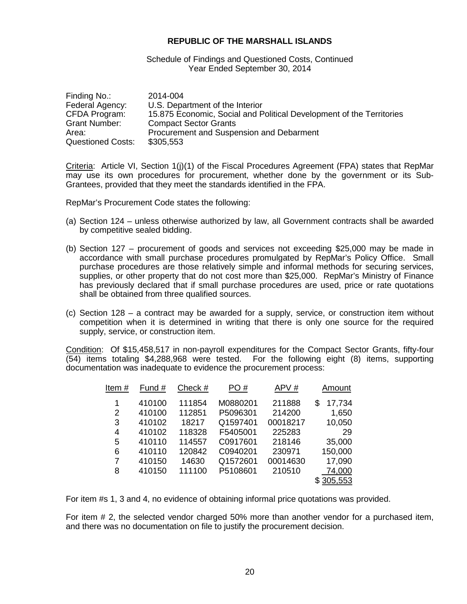Schedule of Findings and Questioned Costs, Continued Year Ended September 30, 2014

| Finding No.:             | 2014-004                                                             |
|--------------------------|----------------------------------------------------------------------|
| Federal Agency:          | U.S. Department of the Interior                                      |
| CFDA Program:            | 15.875 Economic, Social and Political Development of the Territories |
| Grant Number:            | <b>Compact Sector Grants</b>                                         |
| Area:                    | Procurement and Suspension and Debarment                             |
| <b>Questioned Costs:</b> | \$305,553                                                            |

Criteria: Article VI, Section 1(j)(1) of the Fiscal Procedures Agreement (FPA) states that RepMar may use its own procedures for procurement, whether done by the government or its Sub-Grantees, provided that they meet the standards identified in the FPA.

RepMar's Procurement Code states the following:

- (a) Section 124 unless otherwise authorized by law, all Government contracts shall be awarded by competitive sealed bidding.
- (b) Section 127 procurement of goods and services not exceeding \$25,000 may be made in accordance with small purchase procedures promulgated by RepMar's Policy Office. Small purchase procedures are those relatively simple and informal methods for securing services, supplies, or other property that do not cost more than \$25,000. RepMar's Ministry of Finance has previously declared that if small purchase procedures are used, price or rate quotations shall be obtained from three qualified sources.
- (c) Section 128 a contract may be awarded for a supply, service, or construction item without competition when it is determined in writing that there is only one source for the required supply, service, or construction item.

Condition: Of \$15,458,517 in non-payroll expenditures for the Compact Sector Grants, fifty-four  $\overline{(54)}$  items totaling \$4,288,968 were tested. For the following eight (8) items, supporting documentation was inadequate to evidence the procurement process:

| ltem # | Fund # | Check # | PO#      | APV#     | Amount      |
|--------|--------|---------|----------|----------|-------------|
| 1      | 410100 | 111854  | M0880201 | 211888   | 17,734<br>S |
| 2      | 410100 | 112851  | P5096301 | 214200   | 1,650       |
| 3      | 410102 | 18217   | Q1597401 | 00018217 | 10,050      |
| 4      | 410102 | 118328  | F5405001 | 225283   | 29          |
| 5      | 410110 | 114557  | C0917601 | 218146   | 35,000      |
| 6      | 410110 | 120842  | C0940201 | 230971   | 150,000     |
| 7      | 410150 | 14630   | Q1572601 | 00014630 | 17,090      |
| 8      | 410150 | 111100  | P5108601 | 210510   | 74,000      |
|        |        |         |          |          | 305.553     |
|        |        |         |          |          |             |

For item #s 1, 3 and 4, no evidence of obtaining informal price quotations was provided.

For item # 2, the selected vendor charged 50% more than another vendor for a purchased item, and there was no documentation on file to justify the procurement decision.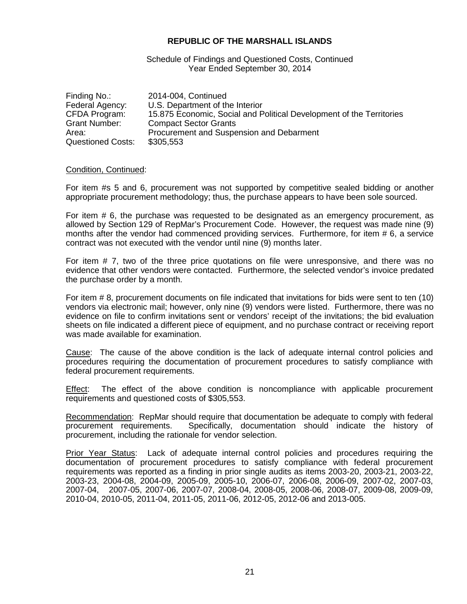Schedule of Findings and Questioned Costs, Continued Year Ended September 30, 2014

| Finding No.:             | 2014-004, Continued                                                  |
|--------------------------|----------------------------------------------------------------------|
| Federal Agency:          | U.S. Department of the Interior                                      |
| CFDA Program:            | 15.875 Economic, Social and Political Development of the Territories |
| <b>Grant Number:</b>     | <b>Compact Sector Grants</b>                                         |
| Area:                    | Procurement and Suspension and Debarment                             |
| <b>Questioned Costs:</b> | \$305,553                                                            |

#### Condition, Continued:

For item #s 5 and 6, procurement was not supported by competitive sealed bidding or another appropriate procurement methodology; thus, the purchase appears to have been sole sourced.

For item # 6, the purchase was requested to be designated as an emergency procurement, as allowed by Section 129 of RepMar's Procurement Code. However, the request was made nine (9) months after the vendor had commenced providing services. Furthermore, for item # 6, a service contract was not executed with the vendor until nine (9) months later.

For item # 7, two of the three price quotations on file were unresponsive, and there was no evidence that other vendors were contacted. Furthermore, the selected vendor's invoice predated the purchase order by a month.

For item # 8, procurement documents on file indicated that invitations for bids were sent to ten (10) vendors via electronic mail; however, only nine (9) vendors were listed. Furthermore, there was no evidence on file to confirm invitations sent or vendors' receipt of the invitations; the bid evaluation sheets on file indicated a different piece of equipment, and no purchase contract or receiving report was made available for examination.

Cause: The cause of the above condition is the lack of adequate internal control policies and procedures requiring the documentation of procurement procedures to satisfy compliance with federal procurement requirements.

Effect: The effect of the above condition is noncompliance with applicable procurement requirements and questioned costs of \$305,553.

Recommendation: RepMar should require that documentation be adequate to comply with federal procurement requirements. Specifically, documentation should indicate the history of procurement, including the rationale for vendor selection.

Prior Year Status: Lack of adequate internal control policies and procedures requiring the documentation of procurement procedures to satisfy compliance with federal procurement requirements was reported as a finding in prior single audits as items 2003-20, 2003-21, 2003-22, 2003-23, 2004-08, 2004-09, 2005-09, 2005-10, 2006-07, 2006-08, 2006-09, 2007-02, 2007-03, 2007-04, 2007-05, 2007-06, 2007-07, 2008-04, 2008-05, 2008-06, 2008-07, 2009-08, 2009-09, 2010-04, 2010-05, 2011-04, 2011-05, 2011-06, 2012-05, 2012-06 and 2013-005.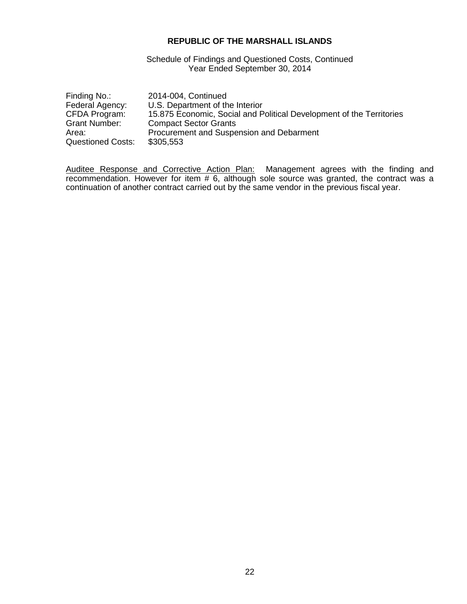Schedule of Findings and Questioned Costs, Continued Year Ended September 30, 2014

| Finding No.:             | 2014-004, Continued                                                  |
|--------------------------|----------------------------------------------------------------------|
| Federal Agency:          | U.S. Department of the Interior                                      |
| CFDA Program:            | 15.875 Economic, Social and Political Development of the Territories |
| Grant Number:            | <b>Compact Sector Grants</b>                                         |
| Area:                    | Procurement and Suspension and Debarment                             |
| <b>Questioned Costs:</b> | \$305,553                                                            |

Auditee Response and Corrective Action Plan: Management agrees with the finding and recommendation. However for item # 6, although sole source was granted, the contract was a continuation of another contract carried out by the same vendor in the previous fiscal year.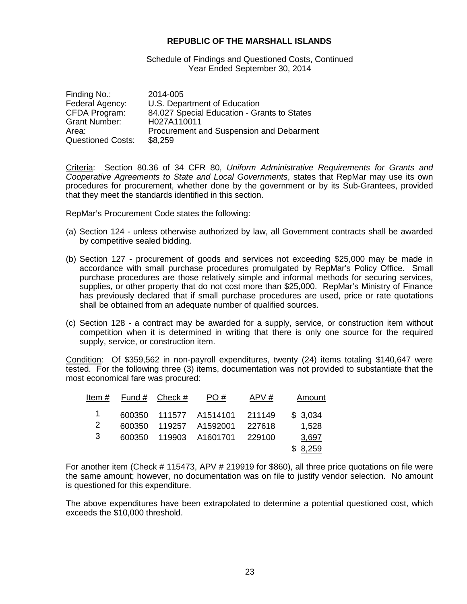Schedule of Findings and Questioned Costs, Continued Year Ended September 30, 2014

| Finding No.:             | 2014-005                                    |
|--------------------------|---------------------------------------------|
| Federal Agency:          | U.S. Department of Education                |
| CFDA Program:            | 84.027 Special Education - Grants to States |
| <b>Grant Number:</b>     | H027A110011                                 |
| Area:                    | Procurement and Suspension and Debarment    |
| <b>Questioned Costs:</b> | \$8,259                                     |

Criteria: Section 80.36 of 34 CFR 80, *Uniform Administrative Requirements for Grants and Cooperative Agreements to State and Local Governments*, states that RepMar may use its own procedures for procurement, whether done by the government or by its Sub-Grantees, provided that they meet the standards identified in this section.

RepMar's Procurement Code states the following:

- (a) Section 124 unless otherwise authorized by law, all Government contracts shall be awarded by competitive sealed bidding.
- (b) Section 127 procurement of goods and services not exceeding \$25,000 may be made in accordance with small purchase procedures promulgated by RepMar's Policy Office. Small purchase procedures are those relatively simple and informal methods for securing services, supplies, or other property that do not cost more than \$25,000. RepMar's Ministry of Finance has previously declared that if small purchase procedures are used, price or rate quotations shall be obtained from an adequate number of qualified sources.
- (c) Section 128 a contract may be awarded for a supply, service, or construction item without competition when it is determined in writing that there is only one source for the required supply, service, or construction item.

Condition: Of \$359,562 in non-payroll expenditures, twenty (24) items totaling \$140,647 were tested. For the following three (3) items, documentation was not provided to substantiate that the most economical fare was procured:

|   | Item $#$ Fund $#$ Check $#$ | PO#                           | APV#   | Amount  |
|---|-----------------------------|-------------------------------|--------|---------|
| 1 |                             | 600350 111577 A1514101 211149 |        | \$3,034 |
| 2 |                             | 600350 119257 A1592001        | 227618 | 1,528   |
| 3 |                             | 600350 119903 A1601701        | 229100 | 3,697   |
|   |                             |                               |        | \$8,259 |

For another item (Check # 115473, APV # 219919 for \$860), all three price quotations on file were the same amount; however, no documentation was on file to justify vendor selection. No amount is questioned for this expenditure.

The above expenditures have been extrapolated to determine a potential questioned cost, which exceeds the \$10,000 threshold.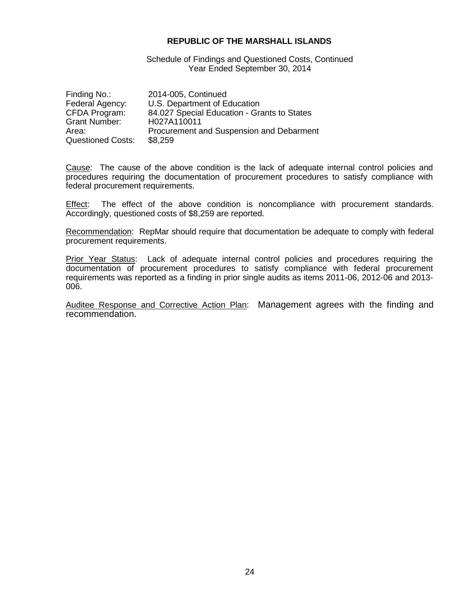Schedule of Findings and Questioned Costs, Continued Year Ended September 30, 2014

| Finding No.:             | 2014-005, Continued                         |
|--------------------------|---------------------------------------------|
| Federal Agency:          | U.S. Department of Education                |
| CFDA Program:            | 84.027 Special Education - Grants to States |
| Grant Number:            | H027A110011                                 |
| Area:                    | Procurement and Suspension and Debarment    |
| <b>Questioned Costs:</b> | \$8,259                                     |

Cause: The cause of the above condition is the lack of adequate internal control policies and procedures requiring the documentation of procurement procedures to satisfy compliance with federal procurement requirements.

Effect: The effect of the above condition is noncompliance with procurement standards. Accordingly, questioned costs of \$8,259 are reported.

Recommendation: RepMar should require that documentation be adequate to comply with federal procurement requirements.

Prior Year Status: Lack of adequate internal control policies and procedures requiring the documentation of procurement procedures to satisfy compliance with federal procurement requirements was reported as a finding in prior single audits as items 2011-06, 2012-06 and 2013- 006.

Auditee Response and Corrective Action Plan: Management agrees with the finding and recommendation.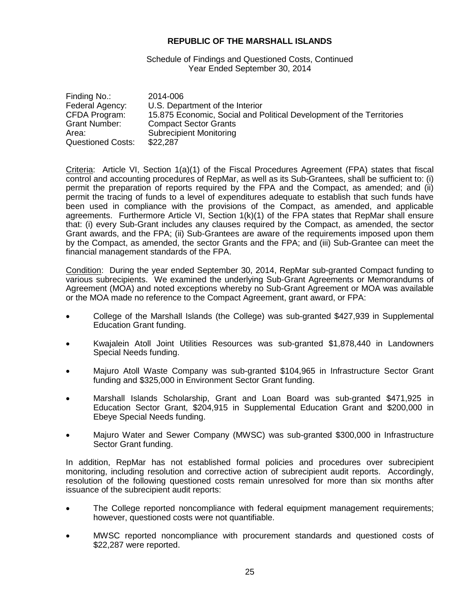Schedule of Findings and Questioned Costs, Continued Year Ended September 30, 2014

| Finding No.:             | 2014-006                                                             |
|--------------------------|----------------------------------------------------------------------|
| Federal Agency:          | U.S. Department of the Interior                                      |
| CFDA Program:            | 15.875 Economic, Social and Political Development of the Territories |
| <b>Grant Number:</b>     | <b>Compact Sector Grants</b>                                         |
| Area:                    | <b>Subrecipient Monitoring</b>                                       |
| <b>Questioned Costs:</b> | \$22,287                                                             |

Criteria: Article VI, Section 1(a)(1) of the Fiscal Procedures Agreement (FPA) states that fiscal control and accounting procedures of RepMar, as well as its Sub-Grantees, shall be sufficient to: (i) permit the preparation of reports required by the FPA and the Compact, as amended; and (ii) permit the tracing of funds to a level of expenditures adequate to establish that such funds have been used in compliance with the provisions of the Compact, as amended, and applicable agreements. Furthermore Article VI, Section 1(k)(1) of the FPA states that RepMar shall ensure that: (i) every Sub-Grant includes any clauses required by the Compact, as amended, the sector Grant awards, and the FPA; (ii) Sub-Grantees are aware of the requirements imposed upon them by the Compact, as amended, the sector Grants and the FPA; and (iii) Sub-Grantee can meet the financial management standards of the FPA.

Condition: During the year ended September 30, 2014, RepMar sub-granted Compact funding to various subrecipients. We examined the underlying Sub-Grant Agreements or Memorandums of Agreement (MOA) and noted exceptions whereby no Sub-Grant Agreement or MOA was available or the MOA made no reference to the Compact Agreement, grant award, or FPA:

- College of the Marshall Islands (the College) was sub-granted \$427,939 in Supplemental Education Grant funding.
- Kwajalein Atoll Joint Utilities Resources was sub-granted \$1,878,440 in Landowners Special Needs funding.
- Majuro Atoll Waste Company was sub-granted \$104,965 in Infrastructure Sector Grant funding and \$325,000 in Environment Sector Grant funding.
- Marshall Islands Scholarship, Grant and Loan Board was sub-granted \$471,925 in Education Sector Grant, \$204,915 in Supplemental Education Grant and \$200,000 in Ebeye Special Needs funding.
- Majuro Water and Sewer Company (MWSC) was sub-granted \$300,000 in Infrastructure Sector Grant funding.

In addition, RepMar has not established formal policies and procedures over subrecipient monitoring, including resolution and corrective action of subrecipient audit reports. Accordingly, resolution of the following questioned costs remain unresolved for more than six months after issuance of the subrecipient audit reports:

- The College reported noncompliance with federal equipment management requirements; however, questioned costs were not quantifiable.
- MWSC reported noncompliance with procurement standards and questioned costs of \$22,287 were reported.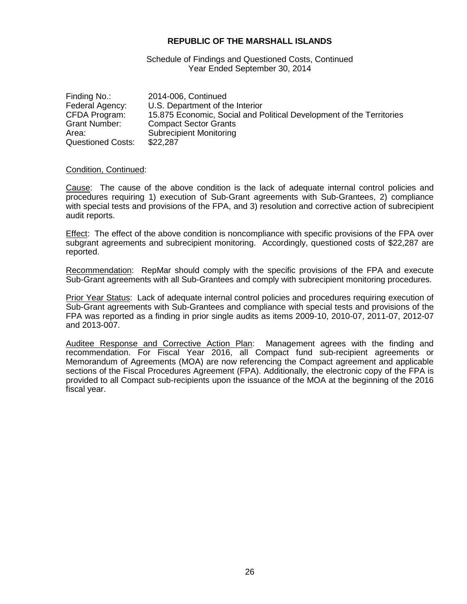Schedule of Findings and Questioned Costs, Continued Year Ended September 30, 2014

| Finding No.:             | 2014-006, Continued                                                  |
|--------------------------|----------------------------------------------------------------------|
| Federal Agency:          | U.S. Department of the Interior                                      |
| CFDA Program:            | 15.875 Economic, Social and Political Development of the Territories |
| Grant Number:            | <b>Compact Sector Grants</b>                                         |
| Area:                    | <b>Subrecipient Monitoring</b>                                       |
| <b>Questioned Costs:</b> | \$22,287                                                             |

#### Condition, Continued:

Cause: The cause of the above condition is the lack of adequate internal control policies and procedures requiring 1) execution of Sub-Grant agreements with Sub-Grantees, 2) compliance with special tests and provisions of the FPA, and 3) resolution and corrective action of subrecipient audit reports.

**Effect:** The effect of the above condition is noncompliance with specific provisions of the FPA over subgrant agreements and subrecipient monitoring. Accordingly, questioned costs of \$22,287 are reported.

Recommendation: RepMar should comply with the specific provisions of the FPA and execute Sub-Grant agreements with all Sub-Grantees and comply with subrecipient monitoring procedures.

Prior Year Status: Lack of adequate internal control policies and procedures requiring execution of Sub-Grant agreements with Sub-Grantees and compliance with special tests and provisions of the FPA was reported as a finding in prior single audits as items 2009-10, 2010-07, 2011-07, 2012-07 and 2013-007.

Auditee Response and Corrective Action Plan: Management agrees with the finding and recommendation. For Fiscal Year 2016, all Compact fund sub-recipient agreements or Memorandum of Agreements (MOA) are now referencing the Compact agreement and applicable sections of the Fiscal Procedures Agreement (FPA). Additionally, the electronic copy of the FPA is provided to all Compact sub-recipients upon the issuance of the MOA at the beginning of the 2016 fiscal year.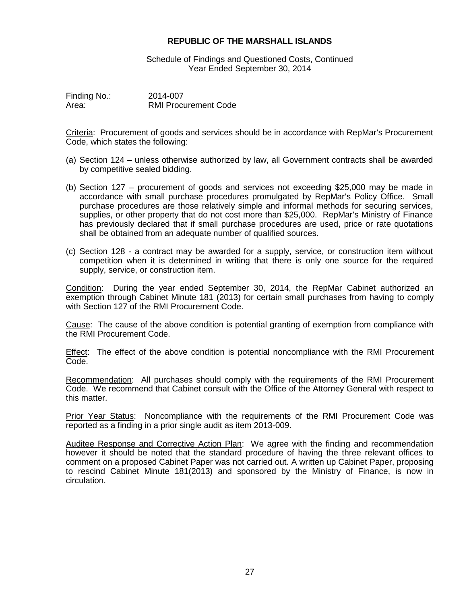Schedule of Findings and Questioned Costs, Continued Year Ended September 30, 2014

Finding No.: 2014-007<br>Area: RMI Procu **RMI Procurement Code** 

Criteria: Procurement of goods and services should be in accordance with RepMar's Procurement Code, which states the following:

- (a) Section 124 unless otherwise authorized by law, all Government contracts shall be awarded by competitive sealed bidding.
- (b) Section 127 procurement of goods and services not exceeding \$25,000 may be made in accordance with small purchase procedures promulgated by RepMar's Policy Office. Small purchase procedures are those relatively simple and informal methods for securing services, supplies, or other property that do not cost more than \$25,000. RepMar's Ministry of Finance has previously declared that if small purchase procedures are used, price or rate quotations shall be obtained from an adequate number of qualified sources.
- (c) Section 128 a contract may be awarded for a supply, service, or construction item without competition when it is determined in writing that there is only one source for the required supply, service, or construction item.

Condition: During the year ended September 30, 2014, the RepMar Cabinet authorized an exemption through Cabinet Minute 181 (2013) for certain small purchases from having to comply with Section 127 of the RMI Procurement Code.

Cause: The cause of the above condition is potential granting of exemption from compliance with the RMI Procurement Code.

Effect: The effect of the above condition is potential noncompliance with the RMI Procurement Code.

Recommendation: All purchases should comply with the requirements of the RMI Procurement Code. We recommend that Cabinet consult with the Office of the Attorney General with respect to this matter.

Prior Year Status: Noncompliance with the requirements of the RMI Procurement Code was reported as a finding in a prior single audit as item 2013-009.

Auditee Response and Corrective Action Plan: We agree with the finding and recommendation however it should be noted that the standard procedure of having the three relevant offices to comment on a proposed Cabinet Paper was not carried out. A written up Cabinet Paper, proposing to rescind Cabinet Minute 181(2013) and sponsored by the Ministry of Finance, is now in circulation.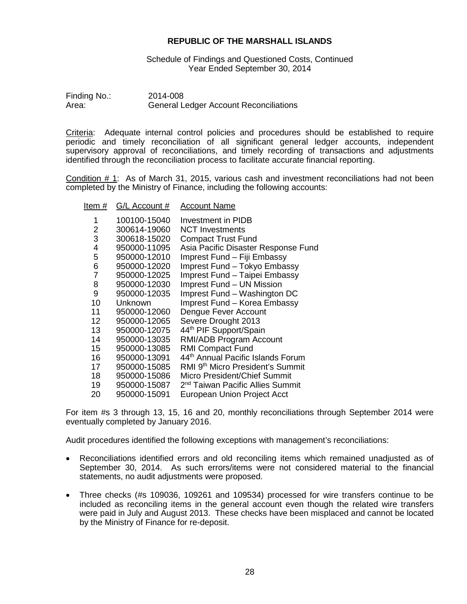Schedule of Findings and Questioned Costs, Continued Year Ended September 30, 2014

| Finding No.: | 2014-008                                      |
|--------------|-----------------------------------------------|
| Area:        | <b>General Ledger Account Reconciliations</b> |

Criteria: Adequate internal control policies and procedures should be established to require periodic and timely reconciliation of all significant general ledger accounts, independent supervisory approval of reconciliations, and timely recording of transactions and adjustments identified through the reconciliation process to facilitate accurate financial reporting.

Condition # 1: As of March 31, 2015, various cash and investment reconciliations had not been completed by the Ministry of Finance, including the following accounts:

#### Item # G/L Account # Account Name

| 1  | 100100-15040 | Investment in PIDB                           |
|----|--------------|----------------------------------------------|
| 2  | 300614-19060 | <b>NCT Investments</b>                       |
| 3  | 300618-15020 | <b>Compact Trust Fund</b>                    |
| 4  | 950000-11095 | Asia Pacific Disaster Response Fund          |
| 5  | 950000-12010 | Imprest Fund - Fiji Embassy                  |
| 6  | 950000-12020 | Imprest Fund - Tokyo Embassy                 |
| 7  | 950000-12025 | Imprest Fund - Taipei Embassy                |
| 8  | 950000-12030 | Imprest Fund - UN Mission                    |
| 9  | 950000-12035 | Imprest Fund - Washington DC                 |
| 10 | Unknown      | Imprest Fund - Korea Embassy                 |
| 11 | 950000-12060 | Dengue Fever Account                         |
| 12 | 950000-12065 | Severe Drought 2013                          |
| 13 | 950000-12075 | 44th PIF Support/Spain                       |
| 14 | 950000-13035 | RMI/ADB Program Account                      |
| 15 | 950000-13085 | <b>RMI Compact Fund</b>                      |
| 16 | 950000-13091 | 44th Annual Pacific Islands Forum            |
| 17 | 950000-15085 | RMI 9th Micro President's Summit             |
| 18 | 950000-15086 | Micro President/Chief Summit                 |
| 19 | 950000-15087 | 2 <sup>nd</sup> Taiwan Pacific Allies Summit |
| 20 | 950000-15091 | European Union Project Acct                  |
|    |              |                                              |

For item #s 3 through 13, 15, 16 and 20, monthly reconciliations through September 2014 were eventually completed by January 2016.

Audit procedures identified the following exceptions with management's reconciliations:

- Reconciliations identified errors and old reconciling items which remained unadjusted as of September 30, 2014. As such errors/items were not considered material to the financial statements, no audit adjustments were proposed.
- Three checks (#s 109036, 109261 and 109534) processed for wire transfers continue to be included as reconciling items in the general account even though the related wire transfers were paid in July and August 2013. These checks have been misplaced and cannot be located by the Ministry of Finance for re-deposit.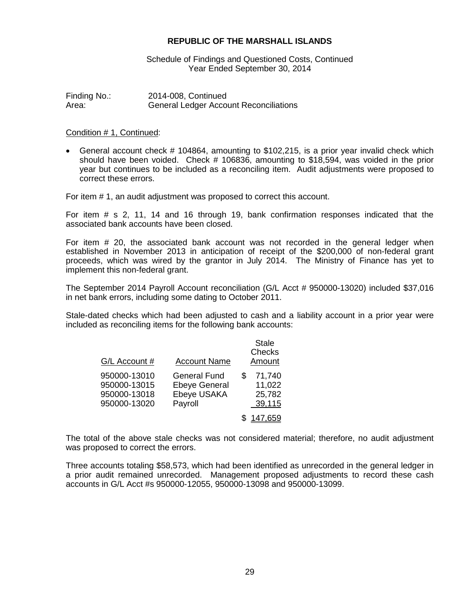Schedule of Findings and Questioned Costs, Continued Year Ended September 30, 2014

Finding No.: 2014-008, Continued<br>Area: General Ledger Accou **General Ledger Account Reconciliations** 

#### Condition # 1, Continued:

• General account check # 104864, amounting to \$102,215, is a prior year invalid check which should have been voided. Check # 106836, amounting to \$18,594, was voided in the prior year but continues to be included as a reconciling item. Audit adjustments were proposed to correct these errors.

For item # 1, an audit adjustment was proposed to correct this account.

For item # s 2, 11, 14 and 16 through 19, bank confirmation responses indicated that the associated bank accounts have been closed.

For item # 20, the associated bank account was not recorded in the general ledger when established in November 2013 in anticipation of receipt of the \$200,000 of non-federal grant proceeds, which was wired by the grantor in July 2014. The Ministry of Finance has yet to implement this non-federal grant.

The September 2014 Payroll Account reconciliation (G/L Acct # 950000-13020) included \$37,016 in net bank errors, including some dating to October 2011.

Stale-dated checks which had been adjusted to cash and a liability account in a prior year were included as reconciling items for the following bank accounts:

| G/L Account #                                                | <b>Account Name</b>                                                   |   | <b>Stale</b><br>Checks<br>Amount     |
|--------------------------------------------------------------|-----------------------------------------------------------------------|---|--------------------------------------|
| 950000-13010<br>950000-13015<br>950000-13018<br>950000-13020 | <b>General Fund</b><br><b>Ebeye General</b><br>Ebeye USAKA<br>Payroll | S | 71,740<br>11,022<br>25,782<br>39,115 |
|                                                              |                                                                       |   | 147,659                              |

The total of the above stale checks was not considered material; therefore, no audit adjustment was proposed to correct the errors.

Three accounts totaling \$58,573, which had been identified as unrecorded in the general ledger in a prior audit remained unrecorded. Management proposed adjustments to record these cash accounts in G/L Acct #s 950000-12055, 950000-13098 and 950000-13099.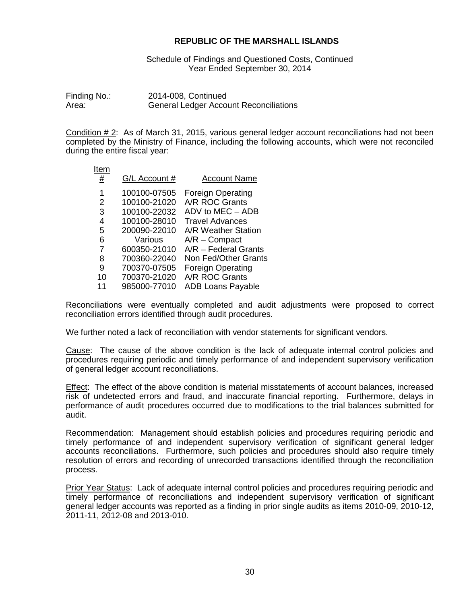Schedule of Findings and Questioned Costs, Continued Year Ended September 30, 2014

Finding No.: 2014-008, Continued<br>Area: General Ledger Accou **General Ledger Account Reconciliations** 

Condition  $# 2$ : As of March 31, 2015, various general ledger account reconciliations had not been completed by the Ministry of Finance, including the following accounts, which were not reconciled during the entire fiscal year:

| Item     |               |                          |
|----------|---------------|--------------------------|
| <u>#</u> | G/L Account # | <b>Account Name</b>      |
| 1        | 100100-07505  | <b>Foreign Operating</b> |
| 2        | 100100-21020  | A/R ROC Grants           |
| 3        | 100100-22032  | ADV to MEC - ADB         |
| 4        | 100100-28010  | Travel Advances          |
| 5        | 200090-22010  | A/R Weather Station      |
| 6        | Various       | $A/R$ – Compact          |
| 7        | 600350-21010  | $A/R$ – Federal Grants   |
| 8        | 700360-22040  | Non Fed/Other Grants     |
| 9        | 700370-07505  | <b>Foreign Operating</b> |
| 10       | 700370-21020  | A/R ROC Grants           |
| 11       | 985000-77010  | <b>ADB Loans Payable</b> |
|          |               |                          |

Reconciliations were eventually completed and audit adjustments were proposed to correct reconciliation errors identified through audit procedures.

We further noted a lack of reconciliation with vendor statements for significant vendors.

Cause: The cause of the above condition is the lack of adequate internal control policies and procedures requiring periodic and timely performance of and independent supervisory verification of general ledger account reconciliations.

Effect: The effect of the above condition is material misstatements of account balances, increased risk of undetected errors and fraud, and inaccurate financial reporting. Furthermore, delays in performance of audit procedures occurred due to modifications to the trial balances submitted for audit.

Recommendation: Management should establish policies and procedures requiring periodic and timely performance of and independent supervisory verification of significant general ledger accounts reconciliations. Furthermore, such policies and procedures should also require timely resolution of errors and recording of unrecorded transactions identified through the reconciliation process.

Prior Year Status: Lack of adequate internal control policies and procedures requiring periodic and timely performance of reconciliations and independent supervisory verification of significant general ledger accounts was reported as a finding in prior single audits as items 2010-09, 2010-12, 2011-11, 2012-08 and 2013-010.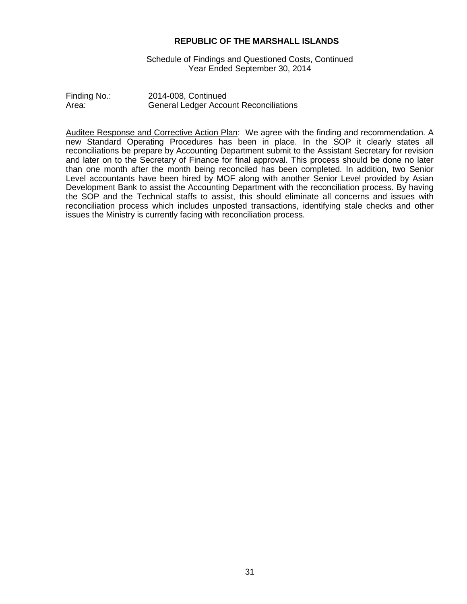Schedule of Findings and Questioned Costs, Continued Year Ended September 30, 2014

| Finding No.: | 2014-008, Continued                           |
|--------------|-----------------------------------------------|
| Area:        | <b>General Ledger Account Reconciliations</b> |

Auditee Response and Corrective Action Plan: We agree with the finding and recommendation. A new Standard Operating Procedures has been in place. In the SOP it clearly states all reconciliations be prepare by Accounting Department submit to the Assistant Secretary for revision and later on to the Secretary of Finance for final approval. This process should be done no later than one month after the month being reconciled has been completed. In addition, two Senior Level accountants have been hired by MOF along with another Senior Level provided by Asian Development Bank to assist the Accounting Department with the reconciliation process. By having the SOP and the Technical staffs to assist, this should eliminate all concerns and issues with reconciliation process which includes unposted transactions, identifying stale checks and other issues the Ministry is currently facing with reconciliation process.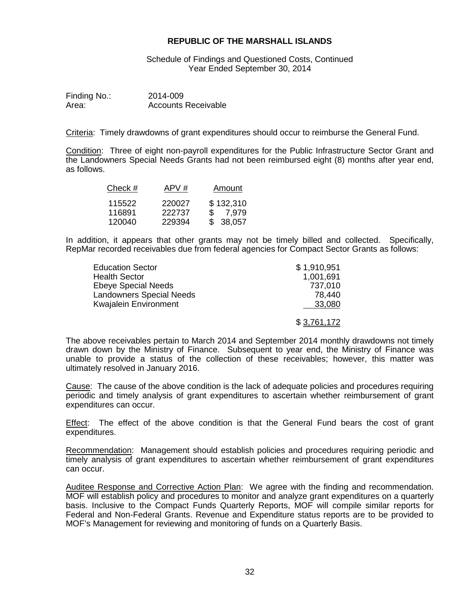Schedule of Findings and Questioned Costs, Continued Year Ended September 30, 2014

| Finding No.: | 2014-009                   |
|--------------|----------------------------|
| Area:        | <b>Accounts Receivable</b> |

Criteria: Timely drawdowns of grant expenditures should occur to reimburse the General Fund.

Condition: Three of eight non-payroll expenditures for the Public Infrastructure Sector Grant and the Landowners Special Needs Grants had not been reimbursed eight (8) months after year end, as follows.

| Check # | APV#   | Amount    |
|---------|--------|-----------|
| 115522  | 220027 | \$132,310 |
| 116891  | 222737 | \$ 7.979  |
| 120040  | 229394 | \$ 38,057 |

In addition, it appears that other grants may not be timely billed and collected. Specifically, RepMar recorded receivables due from federal agencies for Compact Sector Grants as follows:

| <b>Education Sector</b>         | \$1,910,951 |
|---------------------------------|-------------|
| <b>Health Sector</b>            | 1,001,691   |
| <b>Ebeye Special Needs</b>      | 737,010     |
| <b>Landowners Special Needs</b> | 78.440      |
| <b>Kwajalein Environment</b>    | 33,080      |
|                                 | \$3,761,172 |

The above receivables pertain to March 2014 and September 2014 monthly drawdowns not timely drawn down by the Ministry of Finance. Subsequent to year end, the Ministry of Finance was unable to provide a status of the collection of these receivables; however, this matter was ultimately resolved in January 2016.

Cause: The cause of the above condition is the lack of adequate policies and procedures requiring periodic and timely analysis of grant expenditures to ascertain whether reimbursement of grant expenditures can occur.

Effect: The effect of the above condition is that the General Fund bears the cost of grant expenditures.

Recommendation: Management should establish policies and procedures requiring periodic and timely analysis of grant expenditures to ascertain whether reimbursement of grant expenditures can occur.

Auditee Response and Corrective Action Plan: We agree with the finding and recommendation. MOF will establish policy and procedures to monitor and analyze grant expenditures on a quarterly basis. Inclusive to the Compact Funds Quarterly Reports, MOF will compile similar reports for Federal and Non-Federal Grants. Revenue and Expenditure status reports are to be provided to MOF's Management for reviewing and monitoring of funds on a Quarterly Basis.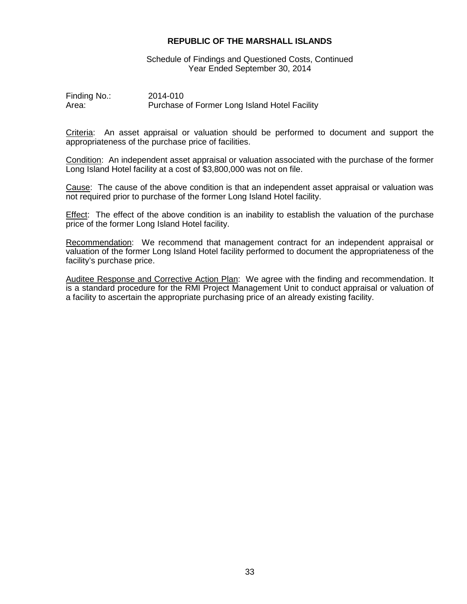Schedule of Findings and Questioned Costs, Continued Year Ended September 30, 2014

Finding No.: 2014-010<br>Area: Purchase Purchase of Former Long Island Hotel Facility

Criteria: An asset appraisal or valuation should be performed to document and support the appropriateness of the purchase price of facilities.

Condition: An independent asset appraisal or valuation associated with the purchase of the former Long Island Hotel facility at a cost of \$3,800,000 was not on file.

Cause: The cause of the above condition is that an independent asset appraisal or valuation was not required prior to purchase of the former Long Island Hotel facility.

Effect: The effect of the above condition is an inability to establish the valuation of the purchase price of the former Long Island Hotel facility.

Recommendation: We recommend that management contract for an independent appraisal or valuation of the former Long Island Hotel facility performed to document the appropriateness of the facility's purchase price.

Auditee Response and Corrective Action Plan: We agree with the finding and recommendation. It is a standard procedure for the RMI Project Management Unit to conduct appraisal or valuation of a facility to ascertain the appropriate purchasing price of an already existing facility.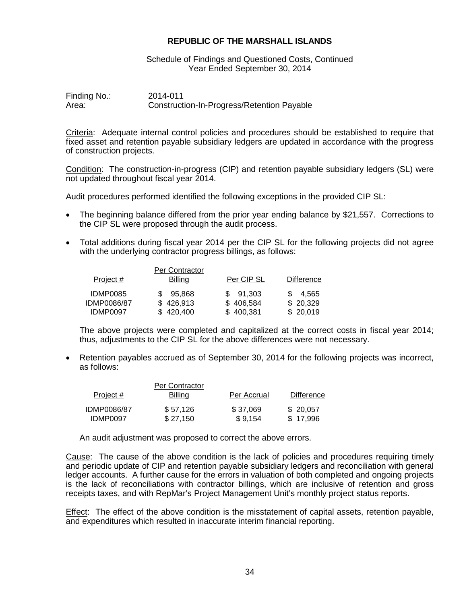Schedule of Findings and Questioned Costs, Continued Year Ended September 30, 2014

Finding No.: 2014-011<br>Area: Construct Construction-In-Progress/Retention Payable

Criteria: Adequate internal control policies and procedures should be established to require that fixed asset and retention payable subsidiary ledgers are updated in accordance with the progress of construction projects.

Condition: The construction-in-progress (CIP) and retention payable subsidiary ledgers (SL) were not updated throughout fiscal year 2014.

Audit procedures performed identified the following exceptions in the provided CIP SL:

- The beginning balance differed from the prior year ending balance by \$21,557. Corrections to the CIP SL were proposed through the audit process.
- Total additions during fiscal year 2014 per the CIP SL for the following projects did not agree with the underlying contractor progress billings, as follows:

|             | Per Contractor |            |                   |
|-------------|----------------|------------|-------------------|
| Project $#$ | Billing        | Per CIP SL | <b>Difference</b> |
| IDMP0085    | 95.868         | \$ 91.303  | \$ 4.565          |
| IDMP0086/87 | \$426,913      | \$406,584  | \$20,329          |
| IDMP0097    | \$420,400      | \$400,381  | \$20,019          |

The above projects were completed and capitalized at the correct costs in fiscal year 2014; thus, adjustments to the CIP SL for the above differences were not necessary.

• Retention payables accrued as of September 30, 2014 for the following projects was incorrect, as follows:

| Project #   | Per Contractor<br><b>Billing</b> | Per Accrual | <b>Difference</b> |
|-------------|----------------------------------|-------------|-------------------|
| IDMP0086/87 | \$57,126                         | \$37,069    | \$20,057          |
| IDMP0097    | \$27,150                         | \$9,154     | \$17,996          |

An audit adjustment was proposed to correct the above errors.

Cause: The cause of the above condition is the lack of policies and procedures requiring timely and periodic update of CIP and retention payable subsidiary ledgers and reconciliation with general ledger accounts. A further cause for the errors in valuation of both completed and ongoing projects is the lack of reconciliations with contractor billings, which are inclusive of retention and gross receipts taxes, and with RepMar's Project Management Unit's monthly project status reports.

Effect: The effect of the above condition is the misstatement of capital assets, retention payable, and expenditures which resulted in inaccurate interim financial reporting.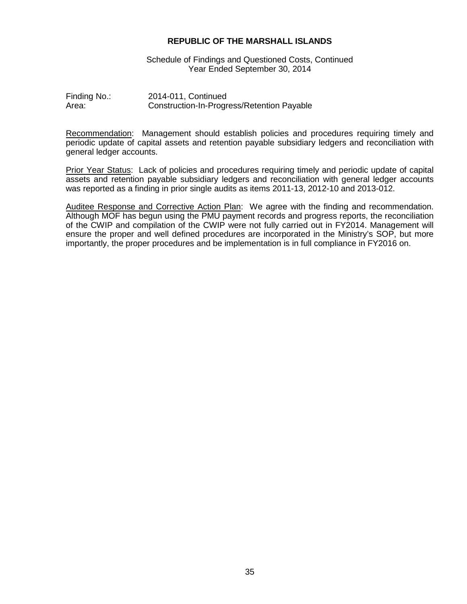Schedule of Findings and Questioned Costs, Continued Year Ended September 30, 2014

Finding No.: 2014-011, Continued<br>Area: Construction-In-Progress Construction-In-Progress/Retention Payable

Recommendation: Management should establish policies and procedures requiring timely and periodic update of capital assets and retention payable subsidiary ledgers and reconciliation with general ledger accounts.

Prior Year Status: Lack of policies and procedures requiring timely and periodic update of capital assets and retention payable subsidiary ledgers and reconciliation with general ledger accounts was reported as a finding in prior single audits as items 2011-13, 2012-10 and 2013-012.

Auditee Response and Corrective Action Plan: We agree with the finding and recommendation. Although MOF has begun using the PMU payment records and progress reports, the reconciliation of the CWIP and compilation of the CWIP were not fully carried out in FY2014. Management will ensure the proper and well defined procedures are incorporated in the Ministry's SOP, but more importantly, the proper procedures and be implementation is in full compliance in FY2016 on.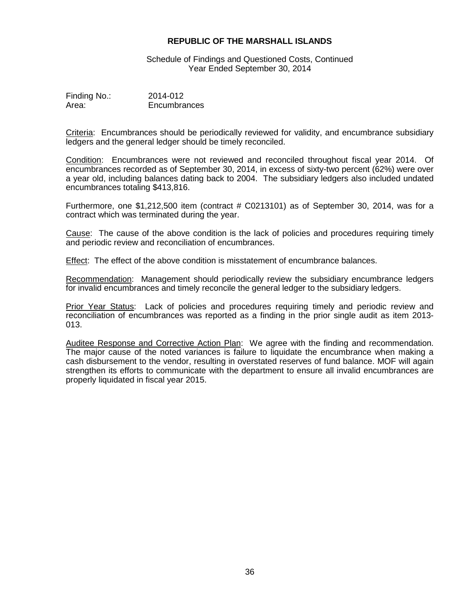Schedule of Findings and Questioned Costs, Continued Year Ended September 30, 2014

| Finding No.: | 2014-012     |
|--------------|--------------|
| Area:        | Encumbrances |

Criteria: Encumbrances should be periodically reviewed for validity, and encumbrance subsidiary ledgers and the general ledger should be timely reconciled.

Condition: Encumbrances were not reviewed and reconciled throughout fiscal year 2014. Of encumbrances recorded as of September 30, 2014, in excess of sixty-two percent (62%) were over a year old, including balances dating back to 2004. The subsidiary ledgers also included undated encumbrances totaling \$413,816.

Furthermore, one \$1,212,500 item (contract # C0213101) as of September 30, 2014, was for a contract which was terminated during the year.

Cause: The cause of the above condition is the lack of policies and procedures requiring timely and periodic review and reconciliation of encumbrances.

Effect: The effect of the above condition is misstatement of encumbrance balances.

Recommendation: Management should periodically review the subsidiary encumbrance ledgers for invalid encumbrances and timely reconcile the general ledger to the subsidiary ledgers.

Prior Year Status: Lack of policies and procedures requiring timely and periodic review and reconciliation of encumbrances was reported as a finding in the prior single audit as item 2013- 013.

Auditee Response and Corrective Action Plan: We agree with the finding and recommendation. The major cause of the noted variances is failure to liquidate the encumbrance when making a cash disbursement to the vendor, resulting in overstated reserves of fund balance. MOF will again strengthen its efforts to communicate with the department to ensure all invalid encumbrances are properly liquidated in fiscal year 2015.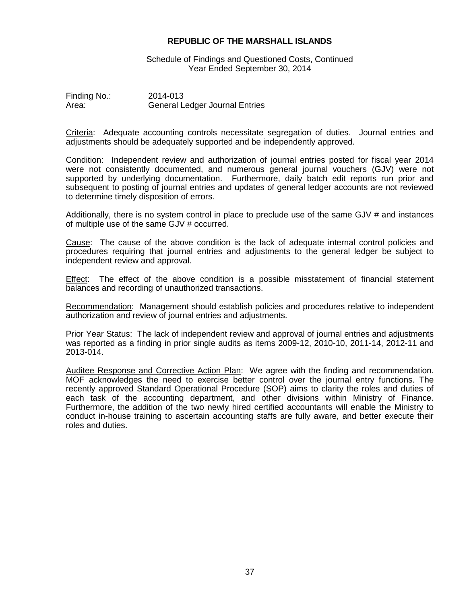Schedule of Findings and Questioned Costs, Continued Year Ended September 30, 2014

Finding No.: 2014-013<br>Area: General Lo **General Ledger Journal Entries** 

Criteria: Adequate accounting controls necessitate segregation of duties. Journal entries and adjustments should be adequately supported and be independently approved.

Condition: Independent review and authorization of journal entries posted for fiscal year 2014 were not consistently documented, and numerous general journal vouchers (GJV) were not supported by underlying documentation. Furthermore, daily batch edit reports run prior and subsequent to posting of journal entries and updates of general ledger accounts are not reviewed to determine timely disposition of errors.

Additionally, there is no system control in place to preclude use of the same GJV # and instances of multiple use of the same GJV # occurred.

Cause: The cause of the above condition is the lack of adequate internal control policies and procedures requiring that journal entries and adjustments to the general ledger be subject to independent review and approval.

Effect: The effect of the above condition is a possible misstatement of financial statement balances and recording of unauthorized transactions.

Recommendation: Management should establish policies and procedures relative to independent authorization and review of journal entries and adjustments.

Prior Year Status: The lack of independent review and approval of journal entries and adjustments was reported as a finding in prior single audits as items 2009-12, 2010-10, 2011-14, 2012-11 and 2013-014.

Auditee Response and Corrective Action Plan: We agree with the finding and recommendation. MOF acknowledges the need to exercise better control over the journal entry functions. The recently approved Standard Operational Procedure (SOP) aims to clarity the roles and duties of each task of the accounting department, and other divisions within Ministry of Finance. Furthermore, the addition of the two newly hired certified accountants will enable the Ministry to conduct in-house training to ascertain accounting staffs are fully aware, and better execute their roles and duties.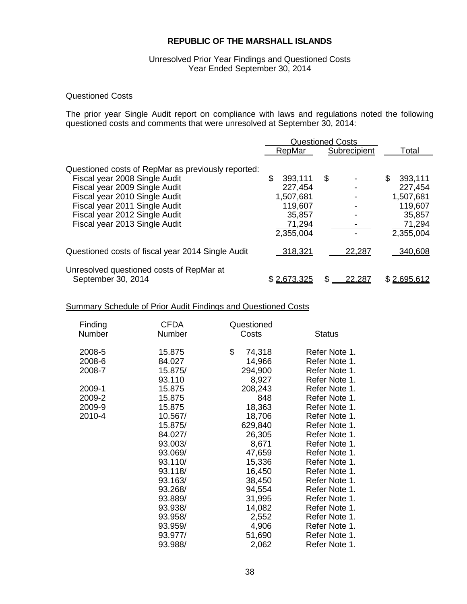#### Unresolved Prior Year Findings and Questioned Costs Year Ended September 30, 2014

# Questioned Costs

The prior year Single Audit report on compliance with laws and regulations noted the following questioned costs and comments that were unresolved at September 30, 2014:

|                                                                                                                                                                                                                                                          | <b>Questioned Costs</b>                                                           |              |                                                                                   |
|----------------------------------------------------------------------------------------------------------------------------------------------------------------------------------------------------------------------------------------------------------|-----------------------------------------------------------------------------------|--------------|-----------------------------------------------------------------------------------|
|                                                                                                                                                                                                                                                          | RepMar                                                                            | Subrecipient | Total                                                                             |
| Questioned costs of RepMar as previously reported:<br>Fiscal year 2008 Single Audit<br>Fiscal year 2009 Single Audit<br>Fiscal year 2010 Single Audit<br>Fiscal year 2011 Single Audit<br>Fiscal year 2012 Single Audit<br>Fiscal year 2013 Single Audit | \$<br>393,111<br>227,454<br>1,507,681<br>119,607<br>35,857<br>71,294<br>2,355,004 | \$           | \$<br>393,111<br>227,454<br>1,507,681<br>119,607<br>35,857<br>71,294<br>2,355,004 |
| Questioned costs of fiscal year 2014 Single Audit                                                                                                                                                                                                        | 318,321                                                                           | 22,287       | 340,608                                                                           |
| Unresolved questioned costs of RepMar at<br>September 30, 2014                                                                                                                                                                                           | \$2,673,325                                                                       | 22,287       | \$2,695,612                                                                       |

## Summary Schedule of Prior Audit Findings and Questioned Costs

| Finding<br><b>Number</b> | <b>CFDA</b><br><b>Number</b> | Questioned<br>Costs | <b>Status</b> |
|--------------------------|------------------------------|---------------------|---------------|
| 2008-5                   | 15.875                       | \$<br>74,318        | Refer Note 1. |
| 2008-6                   | 84.027                       | 14,966              | Refer Note 1. |
| 2008-7                   | 15.875/                      | 294,900             | Refer Note 1. |
|                          | 93.110                       | 8,927               | Refer Note 1. |
| 2009-1                   | 15.875                       | 208,243             | Refer Note 1. |
| 2009-2                   | 15.875                       | 848                 | Refer Note 1. |
| 2009-9                   | 15.875                       | 18,363              | Refer Note 1. |
| 2010-4                   | 10.567/                      | 18,706              | Refer Note 1. |
|                          | 15.875/                      | 629,840             | Refer Note 1. |
|                          | 84.027/                      | 26,305              | Refer Note 1. |
|                          | 93.003/                      | 8,671               | Refer Note 1. |
|                          | 93.069/                      | 47,659              | Refer Note 1. |
|                          | 93.110/                      | 15,336              | Refer Note 1. |
|                          | 93.118/                      | 16,450              | Refer Note 1. |
|                          | 93.163/                      | 38,450              | Refer Note 1. |
|                          | 93.268/                      | 94,554              | Refer Note 1. |
|                          | 93.889/                      | 31,995              | Refer Note 1. |
|                          | 93.938/                      | 14,082              | Refer Note 1. |
|                          | 93.958/                      | 2,552               | Refer Note 1. |
|                          | 93.959/                      | 4,906               | Refer Note 1. |
|                          | 93.977/                      | 51,690              | Refer Note 1. |
|                          | 93.988/                      | 2,062               | Refer Note 1. |